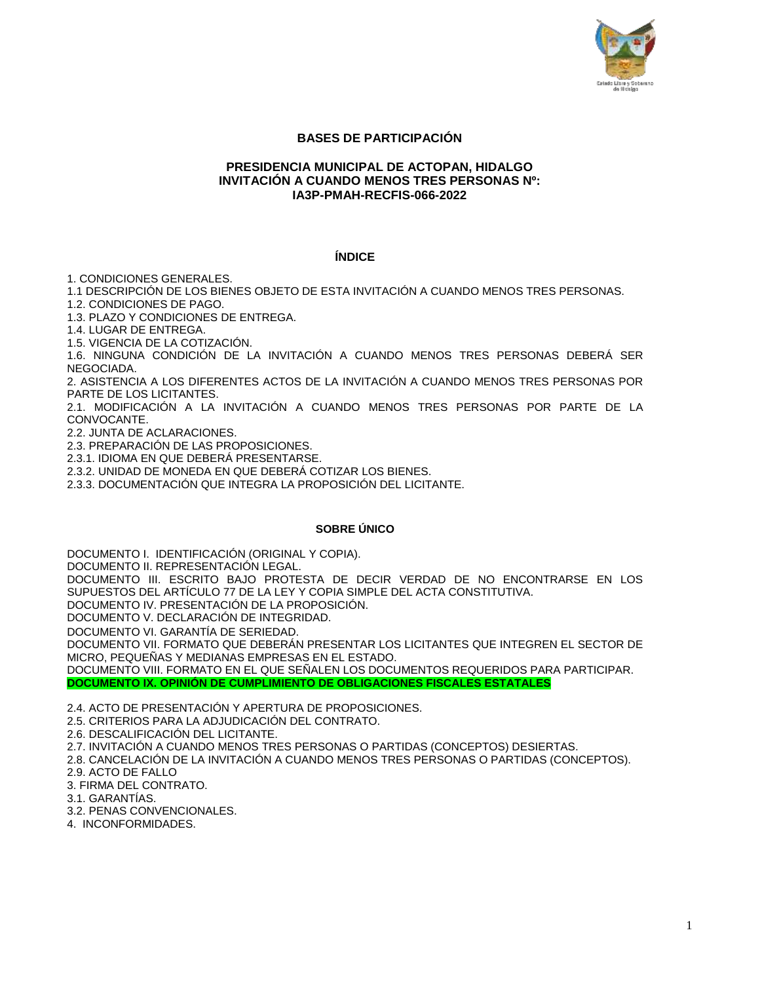

# **BASES DE PARTICIPACIÓN**

### **PRESIDENCIA MUNICIPAL DE ACTOPAN, HIDALGO INVITACIÓN A CUANDO MENOS TRES PERSONAS Nº: IA3P-PMAH-RECFIS-066-2022**

#### **ÍNDICE**

1. CONDICIONES GENERALES.

1.1 DESCRIPCIÓN DE LOS BIENES OBJETO DE ESTA INVITACIÓN A CUANDO MENOS TRES PERSONAS.

1.2. CONDICIONES DE PAGO.

1.3. PLAZO Y CONDICIONES DE ENTREGA.

1.4. LUGAR DE ENTREGA.

1.5. VIGENCIA DE LA COTIZACIÓN.

1.6. NINGUNA CONDICIÓN DE LA INVITACIÓN A CUANDO MENOS TRES PERSONAS DEBERÁ SER NEGOCIADA.

2. ASISTENCIA A LOS DIFERENTES ACTOS DE LA INVITACIÓN A CUANDO MENOS TRES PERSONAS POR PARTE DE LOS LICITANTES.

2.1. MODIFICACIÓN A LA INVITACIÓN A CUANDO MENOS TRES PERSONAS POR PARTE DE LA CONVOCANTE.

2.2. JUNTA DE ACLARACIONES.

2.3. PREPARACIÓN DE LAS PROPOSICIONES.

2.3.1. IDIOMA EN QUE DEBERÁ PRESENTARSE.

2.3.2. UNIDAD DE MONEDA EN QUE DEBERÁ COTIZAR LOS BIENES.

2.3.3. DOCUMENTACIÓN QUE INTEGRA LA PROPOSICIÓN DEL LICITANTE.

### **SOBRE ÚNICO**

DOCUMENTO I. IDENTIFICACIÓN (ORIGINAL Y COPIA). DOCUMENTO II. REPRESENTACIÓN LEGAL.

DOCUMENTO III. ESCRITO BAJO PROTESTA DE DECIR VERDAD DE NO ENCONTRARSE EN LOS SUPUESTOS DEL ARTÍCULO 77 DE LA LEY Y COPIA SIMPLE DEL ACTA CONSTITUTIVA.

DOCUMENTO IV. PRESENTACIÓN DE LA PROPOSICIÓN.

DOCUMENTO V. DECLARACIÓN DE INTEGRIDAD.

DOCUMENTO VI. GARANTÍA DE SERIEDAD.

DOCUMENTO VII. FORMATO QUE DEBERÁN PRESENTAR LOS LICITANTES QUE INTEGREN EL SECTOR DE MICRO, PEQUEÑAS Y MEDIANAS EMPRESAS EN EL ESTADO.

DOCUMENTO VIII. FORMATO EN EL QUE SEÑALEN LOS DOCUMENTOS REQUERIDOS PARA PARTICIPAR. **DOCUMENTO IX. OPINIÓN DE CUMPLIMIENTO DE OBLIGACIONES FISCALES ESTATALES**

2.4. ACTO DE PRESENTACIÓN Y APERTURA DE PROPOSICIONES.

2.5. CRITERIOS PARA LA ADJUDICACIÓN DEL CONTRATO.

2.6. DESCALIFICACIÓN DEL LICITANTE.

2.7. INVITACIÓN A CUANDO MENOS TRES PERSONAS O PARTIDAS (CONCEPTOS) DESIERTAS.

2.8. CANCELACIÓN DE LA INVITACIÓN A CUANDO MENOS TRES PERSONAS O PARTIDAS (CONCEPTOS). 2.9. ACTO DE FALLO

3. FIRMA DEL CONTRATO.

3.1. GARANTÍAS.

3.2. PENAS CONVENCIONALES.

4. INCONFORMIDADES.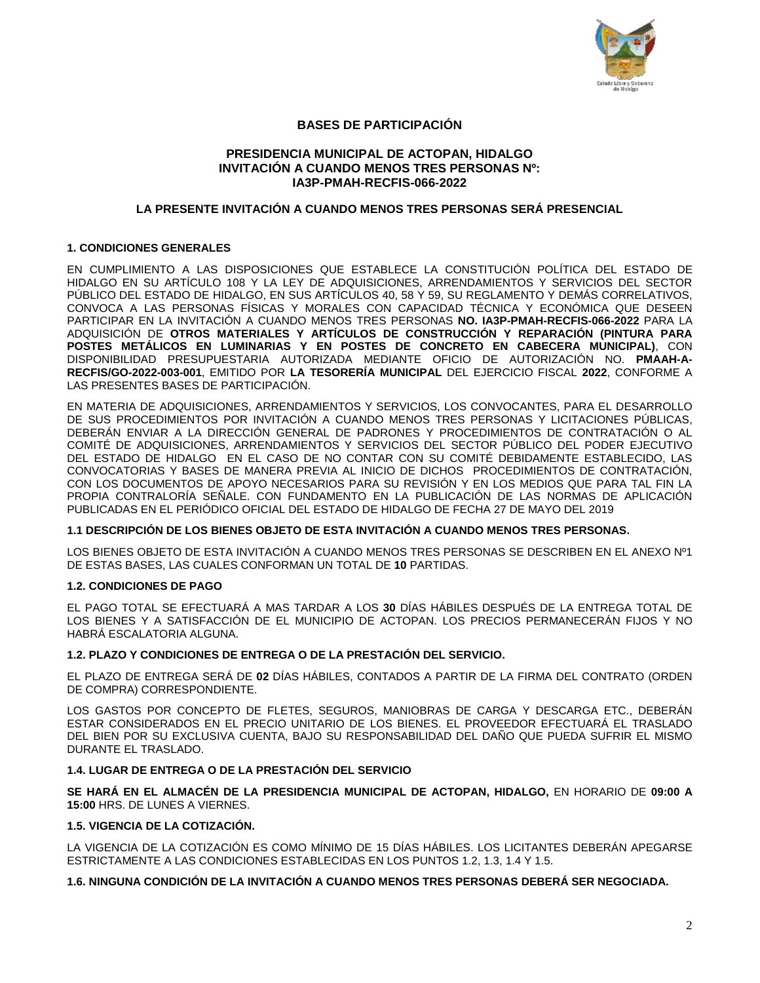

# **BASES DE PARTICIPACIÓN**

## **PRESIDENCIA MUNICIPAL DE ACTOPAN, HIDALGO INVITACIÓN A CUANDO MENOS TRES PERSONAS Nº: IA3P-PMAH-RECFIS-066-2022**

## **LA PRESENTE INVITACIÓN A CUANDO MENOS TRES PERSONAS SERÁ PRESENCIAL**

### **1. CONDICIONES GENERALES**

EN CUMPLIMIENTO A LAS DISPOSICIONES QUE ESTABLECE LA CONSTITUCIÓN POLÍTICA DEL ESTADO DE HIDALGO EN SU ARTÍCULO 108 Y LA LEY DE ADQUISICIONES, ARRENDAMIENTOS Y SERVICIOS DEL SECTOR PÚBLICO DEL ESTADO DE HIDALGO, EN SUS ARTÍCULOS 40, 58 Y 59, SU REGLAMENTO Y DEMÁS CORRELATIVOS, CONVOCA A LAS PERSONAS FÍSICAS Y MORALES CON CAPACIDAD TÉCNICA Y ECONÓMICA QUE DESEEN PARTICIPAR EN LA INVITACIÓN A CUANDO MENOS TRES PERSONAS **NO. IA3P-PMAH-RECFIS-066-2022** PARA LA ADQUISICIÓN DE **OTROS MATERIALES Y ARTÍCULOS DE CONSTRUCCIÓN Y REPARACIÓN (PINTURA PARA POSTES METÁLICOS EN LUMINARIAS Y EN POSTES DE CONCRETO EN CABECERA MUNICIPAL)**, CON DISPONIBILIDAD PRESUPUESTARIA AUTORIZADA MEDIANTE OFICIO DE AUTORIZACIÓN NO. **PMAAH-A-RECFIS/GO-2022-003-001**, EMITIDO POR **LA TESORERÍA MUNICIPAL** DEL EJERCICIO FISCAL **2022**, CONFORME A LAS PRESENTES BASES DE PARTICIPACIÓN.

EN MATERIA DE ADQUISICIONES, ARRENDAMIENTOS Y SERVICIOS, LOS CONVOCANTES, PARA EL DESARROLLO DE SUS PROCEDIMIENTOS POR INVITACIÓN A CUANDO MENOS TRES PERSONAS Y LICITACIONES PÚBLICAS, DEBERÁN ENVIAR A LA DIRECCIÓN GENERAL DE PADRONES Y PROCEDIMIENTOS DE CONTRATACIÓN O AL COMITÉ DE ADQUISICIONES, ARRENDAMIENTOS Y SERVICIOS DEL SECTOR PÚBLICO DEL PODER EJECUTIVO DEL ESTADO DE HIDALGO EN EL CASO DE NO CONTAR CON SU COMITÉ DEBIDAMENTE ESTABLECIDO, LAS CONVOCATORIAS Y BASES DE MANERA PREVIA AL INICIO DE DICHOS PROCEDIMIENTOS DE CONTRATACIÓN, CON LOS DOCUMENTOS DE APOYO NECESARIOS PARA SU REVISIÓN Y EN LOS MEDIOS QUE PARA TAL FIN LA PROPIA CONTRALORÍA SEÑALE. CON FUNDAMENTO EN LA PUBLICACIÓN DE LAS NORMAS DE APLICACIÓN PUBLICADAS EN EL PERIÓDICO OFICIAL DEL ESTADO DE HIDALGO DE FECHA 27 DE MAYO DEL 2019

### **1.1 DESCRIPCIÓN DE LOS BIENES OBJETO DE ESTA INVITACIÓN A CUANDO MENOS TRES PERSONAS.**

LOS BIENES OBJETO DE ESTA INVITACIÓN A CUANDO MENOS TRES PERSONAS SE DESCRIBEN EN EL ANEXO Nº1 DE ESTAS BASES, LAS CUALES CONFORMAN UN TOTAL DE **10** PARTIDAS.

### **1.2. CONDICIONES DE PAGO**

EL PAGO TOTAL SE EFECTUARÁ A MAS TARDAR A LOS **30** DÍAS HÁBILES DESPUÉS DE LA ENTREGA TOTAL DE LOS BIENES Y A SATISFACCIÓN DE EL MUNICIPIO DE ACTOPAN. LOS PRECIOS PERMANECERÁN FIJOS Y NO HABRÁ ESCALATORIA ALGUNA.

### **1.2. PLAZO Y CONDICIONES DE ENTREGA O DE LA PRESTACIÓN DEL SERVICIO.**

EL PLAZO DE ENTREGA SERÁ DE **02** DÍAS HÁBILES, CONTADOS A PARTIR DE LA FIRMA DEL CONTRATO (ORDEN DE COMPRA) CORRESPONDIENTE.

LOS GASTOS POR CONCEPTO DE FLETES, SEGUROS, MANIOBRAS DE CARGA Y DESCARGA ETC., DEBERÁN ESTAR CONSIDERADOS EN EL PRECIO UNITARIO DE LOS BIENES. EL PROVEEDOR EFECTUARÁ EL TRASLADO DEL BIEN POR SU EXCLUSIVA CUENTA, BAJO SU RESPONSABILIDAD DEL DAÑO QUE PUEDA SUFRIR EL MISMO DURANTE EL TRASLADO.

### **1.4. LUGAR DE ENTREGA O DE LA PRESTACIÓN DEL SERVICIO**

**SE HARÁ EN EL ALMACÉN DE LA PRESIDENCIA MUNICIPAL DE ACTOPAN, HIDALGO,** EN HORARIO DE **09:00 A 15:00** HRS. DE LUNES A VIERNES.

## **1.5. VIGENCIA DE LA COTIZACIÓN.**

LA VIGENCIA DE LA COTIZACIÓN ES COMO MÍNIMO DE 15 DÍAS HÁBILES. LOS LICITANTES DEBERÁN APEGARSE ESTRICTAMENTE A LAS CONDICIONES ESTABLECIDAS EN LOS PUNTOS 1.2, 1.3, 1.4 Y 1.5.

### **1.6. NINGUNA CONDICIÓN DE LA INVITACIÓN A CUANDO MENOS TRES PERSONAS DEBERÁ SER NEGOCIADA.**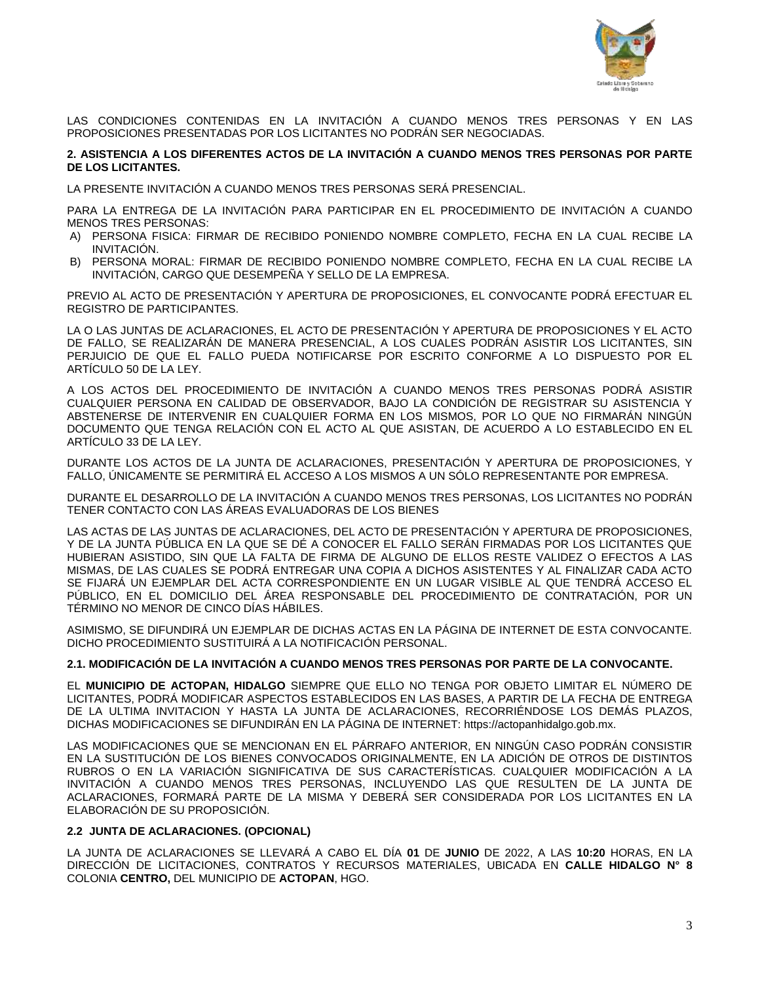

LAS CONDICIONES CONTENIDAS EN LA INVITACIÓN A CUANDO MENOS TRES PERSONAS Y EN LAS PROPOSICIONES PRESENTADAS POR LOS LICITANTES NO PODRÁN SER NEGOCIADAS.

## **2. ASISTENCIA A LOS DIFERENTES ACTOS DE LA INVITACIÓN A CUANDO MENOS TRES PERSONAS POR PARTE DE LOS LICITANTES.**

LA PRESENTE INVITACIÓN A CUANDO MENOS TRES PERSONAS SERÁ PRESENCIAL.

PARA LA ENTREGA DE LA INVITACIÓN PARA PARTICIPAR EN EL PROCEDIMIENTO DE INVITACIÓN A CUANDO MENOS TRES PERSONAS:

- A) PERSONA FISICA: FIRMAR DE RECIBIDO PONIENDO NOMBRE COMPLETO, FECHA EN LA CUAL RECIBE LA INVITACIÓN.
- B) PERSONA MORAL: FIRMAR DE RECIBIDO PONIENDO NOMBRE COMPLETO, FECHA EN LA CUAL RECIBE LA INVITACIÓN, CARGO QUE DESEMPEÑA Y SELLO DE LA EMPRESA.

PREVIO AL ACTO DE PRESENTACIÓN Y APERTURA DE PROPOSICIONES, EL CONVOCANTE PODRÁ EFECTUAR EL REGISTRO DE PARTICIPANTES.

LA O LAS JUNTAS DE ACLARACIONES, EL ACTO DE PRESENTACIÓN Y APERTURA DE PROPOSICIONES Y EL ACTO DE FALLO, SE REALIZARÁN DE MANERA PRESENCIAL, A LOS CUALES PODRÁN ASISTIR LOS LICITANTES, SIN PERJUICIO DE QUE EL FALLO PUEDA NOTIFICARSE POR ESCRITO CONFORME A LO DISPUESTO POR EL ARTÍCULO 50 DE LA LEY.

A LOS ACTOS DEL PROCEDIMIENTO DE INVITACIÓN A CUANDO MENOS TRES PERSONAS PODRÁ ASISTIR CUALQUIER PERSONA EN CALIDAD DE OBSERVADOR, BAJO LA CONDICIÓN DE REGISTRAR SU ASISTENCIA Y ABSTENERSE DE INTERVENIR EN CUALQUIER FORMA EN LOS MISMOS, POR LO QUE NO FIRMARÁN NINGÚN DOCUMENTO QUE TENGA RELACIÓN CON EL ACTO AL QUE ASISTAN, DE ACUERDO A LO ESTABLECIDO EN EL ARTÍCULO 33 DE LA LEY.

DURANTE LOS ACTOS DE LA JUNTA DE ACLARACIONES, PRESENTACIÓN Y APERTURA DE PROPOSICIONES, Y FALLO, ÚNICAMENTE SE PERMITIRÁ EL ACCESO A LOS MISMOS A UN SÓLO REPRESENTANTE POR EMPRESA.

DURANTE EL DESARROLLO DE LA INVITACIÓN A CUANDO MENOS TRES PERSONAS, LOS LICITANTES NO PODRÁN TENER CONTACTO CON LAS ÁREAS EVALUADORAS DE LOS BIENES

LAS ACTAS DE LAS JUNTAS DE ACLARACIONES, DEL ACTO DE PRESENTACIÓN Y APERTURA DE PROPOSICIONES, Y DE LA JUNTA PÚBLICA EN LA QUE SE DÉ A CONOCER EL FALLO SERÁN FIRMADAS POR LOS LICITANTES QUE HUBIERAN ASISTIDO, SIN QUE LA FALTA DE FIRMA DE ALGUNO DE ELLOS RESTE VALIDEZ O EFECTOS A LAS MISMAS, DE LAS CUALES SE PODRÁ ENTREGAR UNA COPIA A DICHOS ASISTENTES Y AL FINALIZAR CADA ACTO SE FIJARÁ UN EJEMPLAR DEL ACTA CORRESPONDIENTE EN UN LUGAR VISIBLE AL QUE TENDRÁ ACCESO EL PÚBLICO, EN EL DOMICILIO DEL ÁREA RESPONSABLE DEL PROCEDIMIENTO DE CONTRATACIÓN, POR UN TÉRMINO NO MENOR DE CINCO DÍAS HÁBILES.

ASIMISMO, SE DIFUNDIRÁ UN EJEMPLAR DE DICHAS ACTAS EN LA PÁGINA DE INTERNET DE ESTA CONVOCANTE. DICHO PROCEDIMIENTO SUSTITUIRÁ A LA NOTIFICACIÓN PERSONAL.

## **2.1. MODIFICACIÓN DE LA INVITACIÓN A CUANDO MENOS TRES PERSONAS POR PARTE DE LA CONVOCANTE.**

EL **MUNICIPIO DE ACTOPAN, HIDALGO** SIEMPRE QUE ELLO NO TENGA POR OBJETO LIMITAR EL NÚMERO DE LICITANTES, PODRÁ MODIFICAR ASPECTOS ESTABLECIDOS EN LAS BASES, A PARTIR DE LA FECHA DE ENTREGA DE LA ULTIMA INVITACION Y HASTA LA JUNTA DE ACLARACIONES, RECORRIÉNDOSE LOS DEMÁS PLAZOS, DICHAS MODIFICACIONES SE DIFUNDIRÁN EN LA PÁGINA DE INTERNET: https://actopanhidalgo.gob.mx.

LAS MODIFICACIONES QUE SE MENCIONAN EN EL PÁRRAFO ANTERIOR, EN NINGÚN CASO PODRÁN CONSISTIR EN LA SUSTITUCIÓN DE LOS BIENES CONVOCADOS ORIGINALMENTE, EN LA ADICIÓN DE OTROS DE DISTINTOS RUBROS O EN LA VARIACIÓN SIGNIFICATIVA DE SUS CARACTERÍSTICAS. CUALQUIER MODIFICACIÓN A LA INVITACIÓN A CUANDO MENOS TRES PERSONAS, INCLUYENDO LAS QUE RESULTEN DE LA JUNTA DE ACLARACIONES, FORMARÁ PARTE DE LA MISMA Y DEBERÁ SER CONSIDERADA POR LOS LICITANTES EN LA ELABORACIÓN DE SU PROPOSICIÓN.

### **2.2 JUNTA DE ACLARACIONES. (OPCIONAL)**

LA JUNTA DE ACLARACIONES SE LLEVARÁ A CABO EL DÍA **01** DE **JUNIO** DE 2022, A LAS **10:20** HORAS, EN LA DIRECCIÓN DE LICITACIONES, CONTRATOS Y RECURSOS MATERIALES, UBICADA EN **CALLE HIDALGO N° 8** COLONIA **CENTRO,** DEL MUNICIPIO DE **ACTOPAN**, HGO.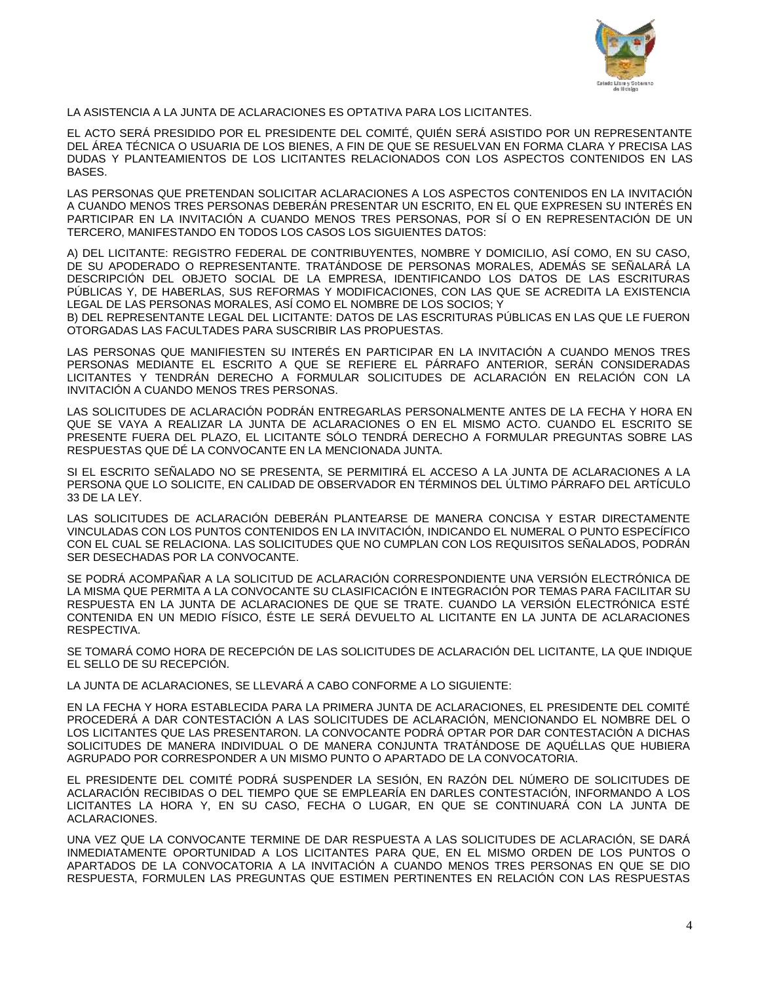

LA ASISTENCIA A LA JUNTA DE ACLARACIONES ES OPTATIVA PARA LOS LICITANTES.

EL ACTO SERÁ PRESIDIDO POR EL PRESIDENTE DEL COMITÉ, QUIÉN SERÁ ASISTIDO POR UN REPRESENTANTE DEL ÁREA TÉCNICA O USUARIA DE LOS BIENES, A FIN DE QUE SE RESUELVAN EN FORMA CLARA Y PRECISA LAS DUDAS Y PLANTEAMIENTOS DE LOS LICITANTES RELACIONADOS CON LOS ASPECTOS CONTENIDOS EN LAS BASES.

LAS PERSONAS QUE PRETENDAN SOLICITAR ACLARACIONES A LOS ASPECTOS CONTENIDOS EN LA INVITACIÓN A CUANDO MENOS TRES PERSONAS DEBERÁN PRESENTAR UN ESCRITO, EN EL QUE EXPRESEN SU INTERÉS EN PARTICIPAR EN LA INVITACIÓN A CUANDO MENOS TRES PERSONAS, POR SÍ O EN REPRESENTACIÓN DE UN TERCERO, MANIFESTANDO EN TODOS LOS CASOS LOS SIGUIENTES DATOS:

A) DEL LICITANTE: REGISTRO FEDERAL DE CONTRIBUYENTES, NOMBRE Y DOMICILIO, ASÍ COMO, EN SU CASO, DE SU APODERADO O REPRESENTANTE. TRATÁNDOSE DE PERSONAS MORALES, ADEMÁS SE SEÑALARÁ LA DESCRIPCIÓN DEL OBJETO SOCIAL DE LA EMPRESA, IDENTIFICANDO LOS DATOS DE LAS ESCRITURAS PÚBLICAS Y, DE HABERLAS, SUS REFORMAS Y MODIFICACIONES, CON LAS QUE SE ACREDITA LA EXISTENCIA LEGAL DE LAS PERSONAS MORALES, ASÍ COMO EL NOMBRE DE LOS SOCIOS; Y

B) DEL REPRESENTANTE LEGAL DEL LICITANTE: DATOS DE LAS ESCRITURAS PÚBLICAS EN LAS QUE LE FUERON OTORGADAS LAS FACULTADES PARA SUSCRIBIR LAS PROPUESTAS.

LAS PERSONAS QUE MANIFIESTEN SU INTERÉS EN PARTICIPAR EN LA INVITACIÓN A CUANDO MENOS TRES PERSONAS MEDIANTE EL ESCRITO A QUE SE REFIERE EL PÁRRAFO ANTERIOR, SERÁN CONSIDERADAS LICITANTES Y TENDRÁN DERECHO A FORMULAR SOLICITUDES DE ACLARACIÓN EN RELACIÓN CON LA INVITACIÓN A CUANDO MENOS TRES PERSONAS.

LAS SOLICITUDES DE ACLARACIÓN PODRÁN ENTREGARLAS PERSONALMENTE ANTES DE LA FECHA Y HORA EN QUE SE VAYA A REALIZAR LA JUNTA DE ACLARACIONES O EN EL MISMO ACTO. CUANDO EL ESCRITO SE PRESENTE FUERA DEL PLAZO, EL LICITANTE SÓLO TENDRÁ DERECHO A FORMULAR PREGUNTAS SOBRE LAS RESPUESTAS QUE DÉ LA CONVOCANTE EN LA MENCIONADA JUNTA.

SI EL ESCRITO SEÑALADO NO SE PRESENTA, SE PERMITIRÁ EL ACCESO A LA JUNTA DE ACLARACIONES A LA PERSONA QUE LO SOLICITE, EN CALIDAD DE OBSERVADOR EN TÉRMINOS DEL ÚLTIMO PÁRRAFO DEL ARTÍCULO 33 DE LA LEY.

LAS SOLICITUDES DE ACLARACIÓN DEBERÁN PLANTEARSE DE MANERA CONCISA Y ESTAR DIRECTAMENTE VINCULADAS CON LOS PUNTOS CONTENIDOS EN LA INVITACIÓN, INDICANDO EL NUMERAL O PUNTO ESPECÍFICO CON EL CUAL SE RELACIONA. LAS SOLICITUDES QUE NO CUMPLAN CON LOS REQUISITOS SEÑALADOS, PODRÁN SER DESECHADAS POR LA CONVOCANTE.

SE PODRÁ ACOMPAÑAR A LA SOLICITUD DE ACLARACIÓN CORRESPONDIENTE UNA VERSIÓN ELECTRÓNICA DE LA MISMA QUE PERMITA A LA CONVOCANTE SU CLASIFICACIÓN E INTEGRACIÓN POR TEMAS PARA FACILITAR SU RESPUESTA EN LA JUNTA DE ACLARACIONES DE QUE SE TRATE. CUANDO LA VERSIÓN ELECTRÓNICA ESTÉ CONTENIDA EN UN MEDIO FÍSICO, ÉSTE LE SERÁ DEVUELTO AL LICITANTE EN LA JUNTA DE ACLARACIONES RESPECTIVA.

SE TOMARÁ COMO HORA DE RECEPCIÓN DE LAS SOLICITUDES DE ACLARACIÓN DEL LICITANTE, LA QUE INDIQUE EL SELLO DE SU RECEPCIÓN.

LA JUNTA DE ACLARACIONES, SE LLEVARÁ A CABO CONFORME A LO SIGUIENTE:

EN LA FECHA Y HORA ESTABLECIDA PARA LA PRIMERA JUNTA DE ACLARACIONES, EL PRESIDENTE DEL COMITÉ PROCEDERÁ A DAR CONTESTACIÓN A LAS SOLICITUDES DE ACLARACIÓN, MENCIONANDO EL NOMBRE DEL O LOS LICITANTES QUE LAS PRESENTARON. LA CONVOCANTE PODRÁ OPTAR POR DAR CONTESTACIÓN A DICHAS SOLICITUDES DE MANERA INDIVIDUAL O DE MANERA CONJUNTA TRATÁNDOSE DE AQUÉLLAS QUE HUBIERA AGRUPADO POR CORRESPONDER A UN MISMO PUNTO O APARTADO DE LA CONVOCATORIA.

EL PRESIDENTE DEL COMITÉ PODRÁ SUSPENDER LA SESIÓN, EN RAZÓN DEL NÚMERO DE SOLICITUDES DE ACLARACIÓN RECIBIDAS O DEL TIEMPO QUE SE EMPLEARÍA EN DARLES CONTESTACIÓN, INFORMANDO A LOS LICITANTES LA HORA Y, EN SU CASO, FECHA O LUGAR, EN QUE SE CONTINUARÁ CON LA JUNTA DE ACLARACIONES.

UNA VEZ QUE LA CONVOCANTE TERMINE DE DAR RESPUESTA A LAS SOLICITUDES DE ACLARACIÓN, SE DARÁ INMEDIATAMENTE OPORTUNIDAD A LOS LICITANTES PARA QUE, EN EL MISMO ORDEN DE LOS PUNTOS O APARTADOS DE LA CONVOCATORIA A LA INVITACIÓN A CUANDO MENOS TRES PERSONAS EN QUE SE DIO RESPUESTA, FORMULEN LAS PREGUNTAS QUE ESTIMEN PERTINENTES EN RELACIÓN CON LAS RESPUESTAS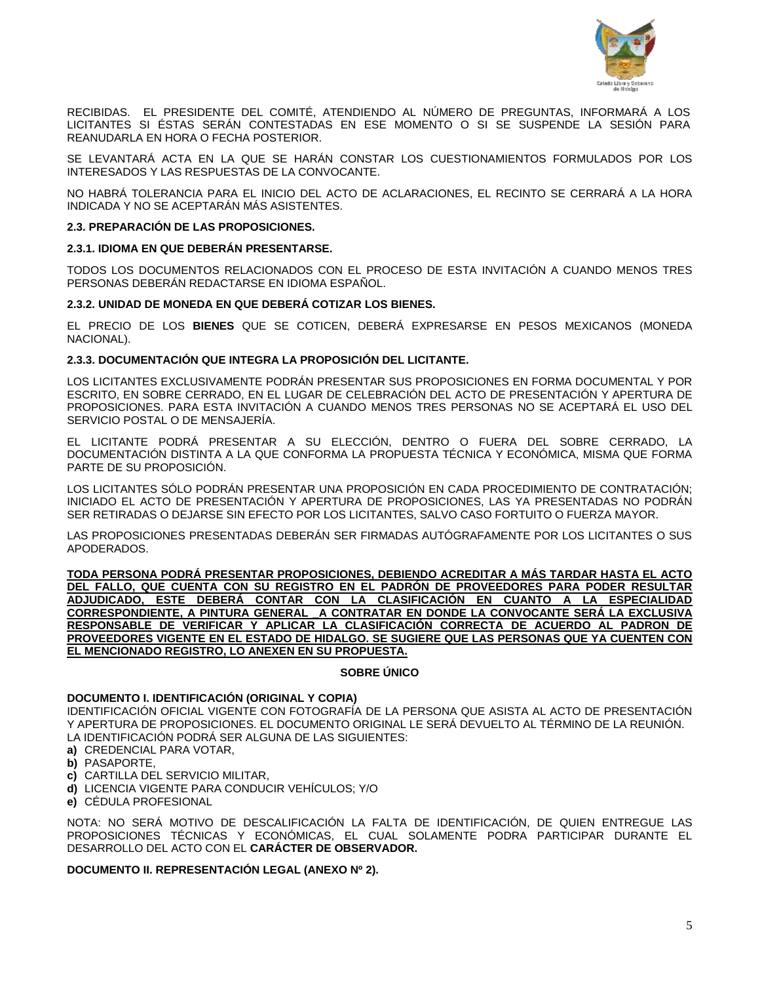

RECIBIDAS. EL PRESIDENTE DEL COMITÉ, ATENDIENDO AL NÚMERO DE PREGUNTAS, INFORMARÁ A LOS LICITANTES SI ÉSTAS SERÁN CONTESTADAS EN ESE MOMENTO O SI SE SUSPENDE LA SESIÓN PARA REANUDARLA EN HORA O FECHA POSTERIOR.

SE LEVANTARÁ ACTA EN LA QUE SE HARÁN CONSTAR LOS CUESTIONAMIENTOS FORMULADOS POR LOS INTERESADOS Y LAS RESPUESTAS DE LA CONVOCANTE.

NO HABRÁ TOLERANCIA PARA EL INICIO DEL ACTO DE ACLARACIONES, EL RECINTO SE CERRARÁ A LA HORA INDICADA Y NO SE ACEPTARÁN MÁS ASISTENTES.

### **2.3. PREPARACIÓN DE LAS PROPOSICIONES.**

### **2.3.1. IDIOMA EN QUE DEBERÁN PRESENTARSE.**

TODOS LOS DOCUMENTOS RELACIONADOS CON EL PROCESO DE ESTA INVITACIÓN A CUANDO MENOS TRES PERSONAS DEBERÁN REDACTARSE EN IDIOMA ESPAÑOL.

### **2.3.2. UNIDAD DE MONEDA EN QUE DEBERÁ COTIZAR LOS BIENES.**

EL PRECIO DE LOS **BIENES** QUE SE COTICEN, DEBERÁ EXPRESARSE EN PESOS MEXICANOS (MONEDA NACIONAL).

### **2.3.3. DOCUMENTACIÓN QUE INTEGRA LA PROPOSICIÓN DEL LICITANTE.**

LOS LICITANTES EXCLUSIVAMENTE PODRÁN PRESENTAR SUS PROPOSICIONES EN FORMA DOCUMENTAL Y POR ESCRITO, EN SOBRE CERRADO, EN EL LUGAR DE CELEBRACIÓN DEL ACTO DE PRESENTACIÓN Y APERTURA DE PROPOSICIONES. PARA ESTA INVITACIÓN A CUANDO MENOS TRES PERSONAS NO SE ACEPTARÁ EL USO DEL SERVICIO POSTAL O DE MENSAJERÍA.

EL LICITANTE PODRÁ PRESENTAR A SU ELECCIÓN, DENTRO O FUERA DEL SOBRE CERRADO, LA DOCUMENTACIÓN DISTINTA A LA QUE CONFORMA LA PROPUESTA TÉCNICA Y ECONÓMICA, MISMA QUE FORMA PARTE DE SU PROPOSICIÓN.

LOS LICITANTES SÓLO PODRÁN PRESENTAR UNA PROPOSICIÓN EN CADA PROCEDIMIENTO DE CONTRATACIÓN; INICIADO EL ACTO DE PRESENTACIÓN Y APERTURA DE PROPOSICIONES, LAS YA PRESENTADAS NO PODRÁN SER RETIRADAS O DEJARSE SIN EFECTO POR LOS LICITANTES, SALVO CASO FORTUITO O FUERZA MAYOR.

LAS PROPOSICIONES PRESENTADAS DEBERÁN SER FIRMADAS AUTÓGRAFAMENTE POR LOS LICITANTES O SUS APODERADOS.

**TODA PERSONA PODRÁ PRESENTAR PROPOSICIONES, DEBIENDO ACREDITAR A MÁS TARDAR HASTA EL ACTO DEL FALLO, QUE CUENTA CON SU REGISTRO EN EL PADRÓN DE PROVEEDORES PARA PODER RESULTAR ADJUDICADO, ESTE DEBERÁ CONTAR CON LA CLASIFICACIÓN EN CUANTO A LA ESPECIALIDAD CORRESPONDIENTE, A PINTURA GENERAL \_A CONTRATAR EN DONDE LA CONVOCANTE SERÁ LA EXCLUSIVA RESPONSABLE DE VERIFICAR Y APLICAR LA CLASIFICACIÓN CORRECTA DE ACUERDO AL PADRON DE PROVEEDORES VIGENTE EN EL ESTADO DE HIDALGO. SE SUGIERE QUE LAS PERSONAS QUE YA CUENTEN CON EL MENCIONADO REGISTRO, LO ANEXEN EN SU PROPUESTA.**

### **SOBRE ÚNICO**

## **DOCUMENTO I. IDENTIFICACIÓN (ORIGINAL Y COPIA)**

IDENTIFICACIÓN OFICIAL VIGENTE CON FOTOGRAFÍA DE LA PERSONA QUE ASISTA AL ACTO DE PRESENTACIÓN Y APERTURA DE PROPOSICIONES. EL DOCUMENTO ORIGINAL LE SERÁ DEVUELTO AL TÉRMINO DE LA REUNIÓN. LA IDENTIFICACIÓN PODRÁ SER ALGUNA DE LAS SIGUIENTES:

- **a)** CREDENCIAL PARA VOTAR,
- **b)** PASAPORTE,
- **c)** CARTILLA DEL SERVICIO MILITAR,
- **d)** LICENCIA VIGENTE PARA CONDUCIR VEHÍCULOS; Y/O
- **e)** CÉDULA PROFESIONAL

NOTA: NO SERÁ MOTIVO DE DESCALIFICACIÓN LA FALTA DE IDENTIFICACIÓN, DE QUIEN ENTREGUE LAS PROPOSICIONES TÉCNICAS Y ECONÓMICAS, EL CUAL SOLAMENTE PODRA PARTICIPAR DURANTE EL DESARROLLO DEL ACTO CON EL **CARÁCTER DE OBSERVADOR.**

### **DOCUMENTO II. REPRESENTACIÓN LEGAL (ANEXO Nº 2).**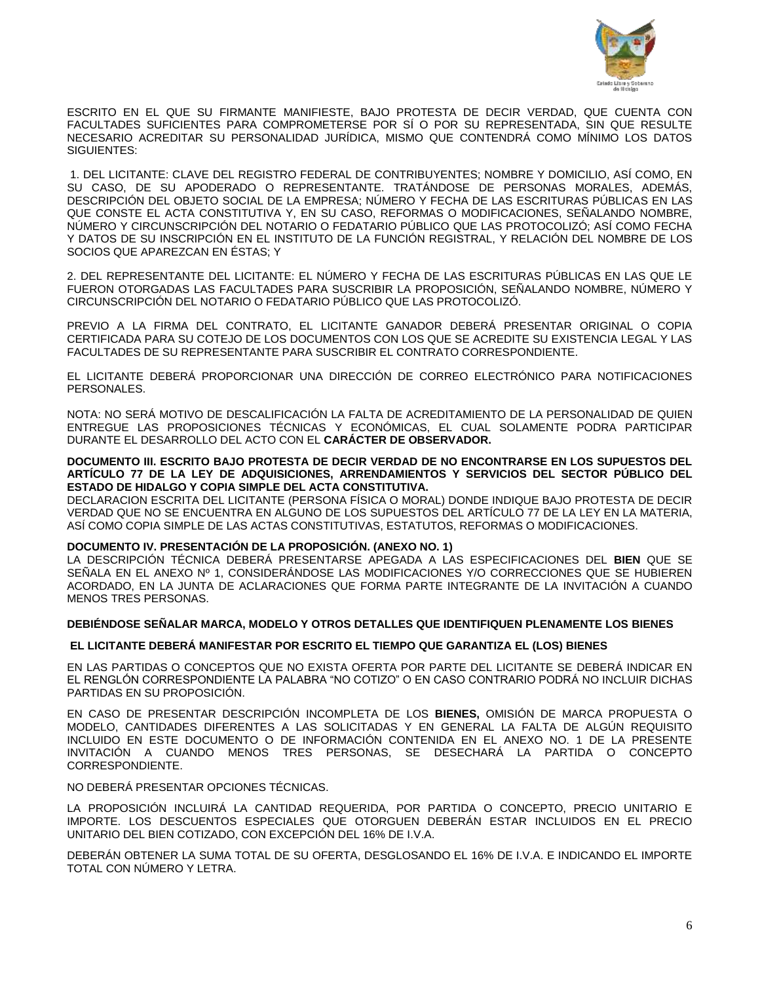

ESCRITO EN EL QUE SU FIRMANTE MANIFIESTE, BAJO PROTESTA DE DECIR VERDAD, QUE CUENTA CON FACULTADES SUFICIENTES PARA COMPROMETERSE POR SÍ O POR SU REPRESENTADA, SIN QUE RESULTE NECESARIO ACREDITAR SU PERSONALIDAD JURÍDICA, MISMO QUE CONTENDRÁ COMO MÍNIMO LOS DATOS SIGUIENTES:

1. DEL LICITANTE: CLAVE DEL REGISTRO FEDERAL DE CONTRIBUYENTES; NOMBRE Y DOMICILIO, ASÍ COMO, EN SU CASO, DE SU APODERADO O REPRESENTANTE. TRATÁNDOSE DE PERSONAS MORALES, ADEMÁS, DESCRIPCIÓN DEL OBJETO SOCIAL DE LA EMPRESA; NÚMERO Y FECHA DE LAS ESCRITURAS PÚBLICAS EN LAS QUE CONSTE EL ACTA CONSTITUTIVA Y, EN SU CASO, REFORMAS O MODIFICACIONES, SEÑALANDO NOMBRE, NÚMERO Y CIRCUNSCRIPCIÓN DEL NOTARIO O FEDATARIO PÚBLICO QUE LAS PROTOCOLIZÓ; ASÍ COMO FECHA Y DATOS DE SU INSCRIPCIÓN EN EL INSTITUTO DE LA FUNCIÓN REGISTRAL, Y RELACIÓN DEL NOMBRE DE LOS SOCIOS QUE APAREZCAN EN ÉSTAS; Y

2. DEL REPRESENTANTE DEL LICITANTE: EL NÚMERO Y FECHA DE LAS ESCRITURAS PÚBLICAS EN LAS QUE LE FUERON OTORGADAS LAS FACULTADES PARA SUSCRIBIR LA PROPOSICIÓN, SEÑALANDO NOMBRE, NÚMERO Y CIRCUNSCRIPCIÓN DEL NOTARIO O FEDATARIO PÚBLICO QUE LAS PROTOCOLIZÓ.

PREVIO A LA FIRMA DEL CONTRATO, EL LICITANTE GANADOR DEBERÁ PRESENTAR ORIGINAL O COPIA CERTIFICADA PARA SU COTEJO DE LOS DOCUMENTOS CON LOS QUE SE ACREDITE SU EXISTENCIA LEGAL Y LAS FACULTADES DE SU REPRESENTANTE PARA SUSCRIBIR EL CONTRATO CORRESPONDIENTE.

EL LICITANTE DEBERÁ PROPORCIONAR UNA DIRECCIÓN DE CORREO ELECTRÓNICO PARA NOTIFICACIONES PERSONALES.

NOTA: NO SERÁ MOTIVO DE DESCALIFICACIÓN LA FALTA DE ACREDITAMIENTO DE LA PERSONALIDAD DE QUIEN ENTREGUE LAS PROPOSICIONES TÉCNICAS Y ECONÓMICAS, EL CUAL SOLAMENTE PODRA PARTICIPAR DURANTE EL DESARROLLO DEL ACTO CON EL **CARÁCTER DE OBSERVADOR.**

#### **DOCUMENTO III. ESCRITO BAJO PROTESTA DE DECIR VERDAD DE NO ENCONTRARSE EN LOS SUPUESTOS DEL ARTÍCULO 77 DE LA LEY DE ADQUISICIONES, ARRENDAMIENTOS Y SERVICIOS DEL SECTOR PÚBLICO DEL ESTADO DE HIDALGO Y COPIA SIMPLE DEL ACTA CONSTITUTIVA.**

DECLARACION ESCRITA DEL LICITANTE (PERSONA FÍSICA O MORAL) DONDE INDIQUE BAJO PROTESTA DE DECIR VERDAD QUE NO SE ENCUENTRA EN ALGUNO DE LOS SUPUESTOS DEL ARTÍCULO 77 DE LA LEY EN LA MATERIA, ASÍ COMO COPIA SIMPLE DE LAS ACTAS CONSTITUTIVAS, ESTATUTOS, REFORMAS O MODIFICACIONES.

### **DOCUMENTO IV. PRESENTACIÓN DE LA PROPOSICIÓN. (ANEXO NO. 1)**

LA DESCRIPCIÓN TÉCNICA DEBERÁ PRESENTARSE APEGADA A LAS ESPECIFICACIONES DEL **BIEN** QUE SE SEÑALA EN EL ANEXO Nº 1, CONSIDERÁNDOSE LAS MODIFICACIONES Y/O CORRECCIONES QUE SE HUBIEREN ACORDADO, EN LA JUNTA DE ACLARACIONES QUE FORMA PARTE INTEGRANTE DE LA INVITACIÓN A CUANDO MENOS TRES PERSONAS.

### **DEBIÉNDOSE SEÑALAR MARCA, MODELO Y OTROS DETALLES QUE IDENTIFIQUEN PLENAMENTE LOS BIENES**

### **EL LICITANTE DEBERÁ MANIFESTAR POR ESCRITO EL TIEMPO QUE GARANTIZA EL (LOS) BIENES**

EN LAS PARTIDAS O CONCEPTOS QUE NO EXISTA OFERTA POR PARTE DEL LICITANTE SE DEBERÁ INDICAR EN EL RENGLÓN CORRESPONDIENTE LA PALABRA "NO COTIZO" O EN CASO CONTRARIO PODRÁ NO INCLUIR DICHAS PARTIDAS EN SU PROPOSICIÓN.

EN CASO DE PRESENTAR DESCRIPCIÓN INCOMPLETA DE LOS **BIENES,** OMISIÓN DE MARCA PROPUESTA O MODELO, CANTIDADES DIFERENTES A LAS SOLICITADAS Y EN GENERAL LA FALTA DE ALGÚN REQUISITO INCLUIDO EN ESTE DOCUMENTO O DE INFORMACIÓN CONTENIDA EN EL ANEXO NO. 1 DE LA PRESENTE INVITACIÓN A CUANDO MENOS TRES PERSONAS, SE DESECHARÁ LA PARTIDA O CONCEPTO CORRESPONDIENTE.

NO DEBERÁ PRESENTAR OPCIONES TÉCNICAS.

LA PROPOSICIÓN INCLUIRÁ LA CANTIDAD REQUERIDA, POR PARTIDA O CONCEPTO, PRECIO UNITARIO E IMPORTE. LOS DESCUENTOS ESPECIALES QUE OTORGUEN DEBERÁN ESTAR INCLUIDOS EN EL PRECIO UNITARIO DEL BIEN COTIZADO, CON EXCEPCIÓN DEL 16% DE I.V.A.

DEBERÁN OBTENER LA SUMA TOTAL DE SU OFERTA, DESGLOSANDO EL 16% DE I.V.A. E INDICANDO EL IMPORTE TOTAL CON NÚMERO Y LETRA.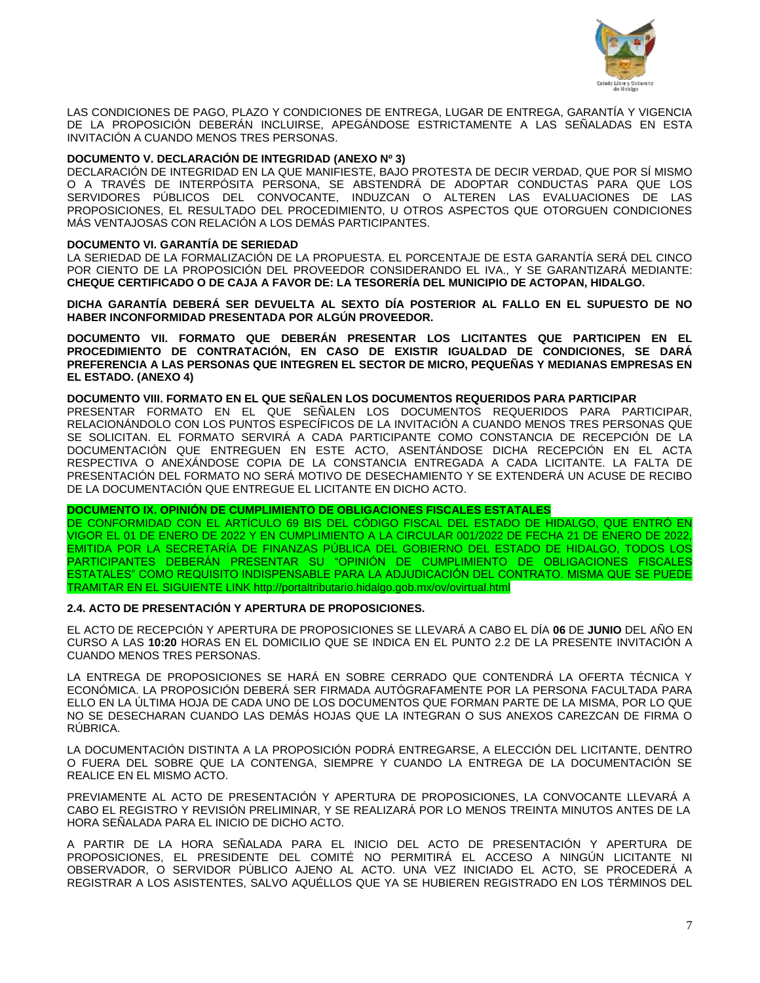

LAS CONDICIONES DE PAGO, PLAZO Y CONDICIONES DE ENTREGA, LUGAR DE ENTREGA, GARANTÍA Y VIGENCIA DE LA PROPOSICIÓN DEBERÁN INCLUIRSE, APEGÁNDOSE ESTRICTAMENTE A LAS SEÑALADAS EN ESTA INVITACIÓN A CUANDO MENOS TRES PERSONAS.

## **DOCUMENTO V. DECLARACIÓN DE INTEGRIDAD (ANEXO Nº 3)**

DECLARACIÓN DE INTEGRIDAD EN LA QUE MANIFIESTE, BAJO PROTESTA DE DECIR VERDAD, QUE POR SÍ MISMO O A TRAVÉS DE INTERPÓSITA PERSONA, SE ABSTENDRÁ DE ADOPTAR CONDUCTAS PARA QUE LOS SERVIDORES PÚBLICOS DEL CONVOCANTE, INDUZCAN O ALTEREN LAS EVALUACIONES DE LAS PROPOSICIONES, EL RESULTADO DEL PROCEDIMIENTO, U OTROS ASPECTOS QUE OTORGUEN CONDICIONES MÁS VENTAJOSAS CON RELACIÓN A LOS DEMÁS PARTICIPANTES.

### **DOCUMENTO VI. GARANTÍA DE SERIEDAD**

LA SERIEDAD DE LA FORMALIZACIÓN DE LA PROPUESTA. EL PORCENTAJE DE ESTA GARANTÍA SERÁ DEL CINCO POR CIENTO DE LA PROPOSICIÓN DEL PROVEEDOR CONSIDERANDO EL IVA., Y SE GARANTIZARÁ MEDIANTE: **CHEQUE CERTIFICADO O DE CAJA A FAVOR DE: LA TESORERÍA DEL MUNICIPIO DE ACTOPAN, HIDALGO.**

**DICHA GARANTÍA DEBERÁ SER DEVUELTA AL SEXTO DÍA POSTERIOR AL FALLO EN EL SUPUESTO DE NO HABER INCONFORMIDAD PRESENTADA POR ALGÚN PROVEEDOR.**

**DOCUMENTO VII. FORMATO QUE DEBERÁN PRESENTAR LOS LICITANTES QUE PARTICIPEN EN EL PROCEDIMIENTO DE CONTRATACIÓN, EN CASO DE EXISTIR IGUALDAD DE CONDICIONES, SE DARÁ PREFERENCIA A LAS PERSONAS QUE INTEGREN EL SECTOR DE MICRO, PEQUEÑAS Y MEDIANAS EMPRESAS EN EL ESTADO. (ANEXO 4)**

### **DOCUMENTO VIII. FORMATO EN EL QUE SEÑALEN LOS DOCUMENTOS REQUERIDOS PARA PARTICIPAR**

PRESENTAR FORMATO EN EL QUE SEÑALEN LOS DOCUMENTOS REQUERIDOS PARA PARTICIPAR, RELACIONÁNDOLO CON LOS PUNTOS ESPECÍFICOS DE LA INVITACIÓN A CUANDO MENOS TRES PERSONAS QUE SE SOLICITAN. EL FORMATO SERVIRÁ A CADA PARTICIPANTE COMO CONSTANCIA DE RECEPCIÓN DE LA DOCUMENTACIÓN QUE ENTREGUEN EN ESTE ACTO, ASENTÁNDOSE DICHA RECEPCIÓN EN EL ACTA RESPECTIVA O ANEXÁNDOSE COPIA DE LA CONSTANCIA ENTREGADA A CADA LICITANTE. LA FALTA DE PRESENTACIÓN DEL FORMATO NO SERÁ MOTIVO DE DESECHAMIENTO Y SE EXTENDERÁ UN ACUSE DE RECIBO DE LA DOCUMENTACIÓN QUE ENTREGUE EL LICITANTE EN DICHO ACTO.

### **DOCUMENTO IX. OPINIÓN DE CUMPLIMIENTO DE OBLIGACIONES FISCALES ESTATALES**

DE CONFORMIDAD CON EL ARTÍCULO 69 BIS DEL CÓDIGO FISCAL DEL ESTADO DE HIDALGO, QUE ENTRÓ EN VIGOR EL 01 DE ENERO DE 2022 Y EN CUMPLIMIENTO A LA CIRCULAR 001/2022 DE FECHA 21 DE ENERO DE 2022, EMITIDA POR LA SECRETARÍA DE FINANZAS PÚBLICA DEL GOBIERNO DEL ESTADO DE HIDALGO, TODOS LOS PARTICIPANTES DEBERÁN PRESENTAR SU "OPINIÓN DE CUMPLIMIENTO DE OBLIGACIONES FISCALES ESTATALES" COMO REQUISITO INDISPENSABLE PARA LA ADJUDICACIÓN DEL CONTRATO. MISMA QUE SE PUEDE TRAMITAR EN EL SIGUIENTE LINK http://portaltributario.hidalgo.gob.mx/ov/ovirtual.html

### **2.4. ACTO DE PRESENTACIÓN Y APERTURA DE PROPOSICIONES.**

EL ACTO DE RECEPCIÓN Y APERTURA DE PROPOSICIONES SE LLEVARÁ A CABO EL DÍA **06** DE **JUNIO** DEL AÑO EN CURSO A LAS **10:20** HORAS EN EL DOMICILIO QUE SE INDICA EN EL PUNTO 2.2 DE LA PRESENTE INVITACIÓN A CUANDO MENOS TRES PERSONAS.

LA ENTREGA DE PROPOSICIONES SE HARÁ EN SOBRE CERRADO QUE CONTENDRÁ LA OFERTA TÉCNICA Y ECONÓMICA. LA PROPOSICIÓN DEBERÁ SER FIRMADA AUTÓGRAFAMENTE POR LA PERSONA FACULTADA PARA ELLO EN LA ÚLTIMA HOJA DE CADA UNO DE LOS DOCUMENTOS QUE FORMAN PARTE DE LA MISMA, POR LO QUE NO SE DESECHARAN CUANDO LAS DEMÁS HOJAS QUE LA INTEGRAN O SUS ANEXOS CAREZCAN DE FIRMA O RÚBRICA.

LA DOCUMENTACIÓN DISTINTA A LA PROPOSICIÓN PODRÁ ENTREGARSE, A ELECCIÓN DEL LICITANTE, DENTRO O FUERA DEL SOBRE QUE LA CONTENGA, SIEMPRE Y CUANDO LA ENTREGA DE LA DOCUMENTACIÓN SE REALICE EN EL MISMO ACTO.

PREVIAMENTE AL ACTO DE PRESENTACIÓN Y APERTURA DE PROPOSICIONES, LA CONVOCANTE LLEVARÁ A CABO EL REGISTRO Y REVISIÓN PRELIMINAR, Y SE REALIZARÁ POR LO MENOS TREINTA MINUTOS ANTES DE LA HORA SEÑALADA PARA EL INICIO DE DICHO ACTO.

A PARTIR DE LA HORA SEÑALADA PARA EL INICIO DEL ACTO DE PRESENTACIÓN Y APERTURA DE PROPOSICIONES, EL PRESIDENTE DEL COMITÉ NO PERMITIRÁ EL ACCESO A NINGÚN LICITANTE NI OBSERVADOR, O SERVIDOR PÚBLICO AJENO AL ACTO. UNA VEZ INICIADO EL ACTO, SE PROCEDERÁ A REGISTRAR A LOS ASISTENTES, SALVO AQUÉLLOS QUE YA SE HUBIEREN REGISTRADO EN LOS TÉRMINOS DEL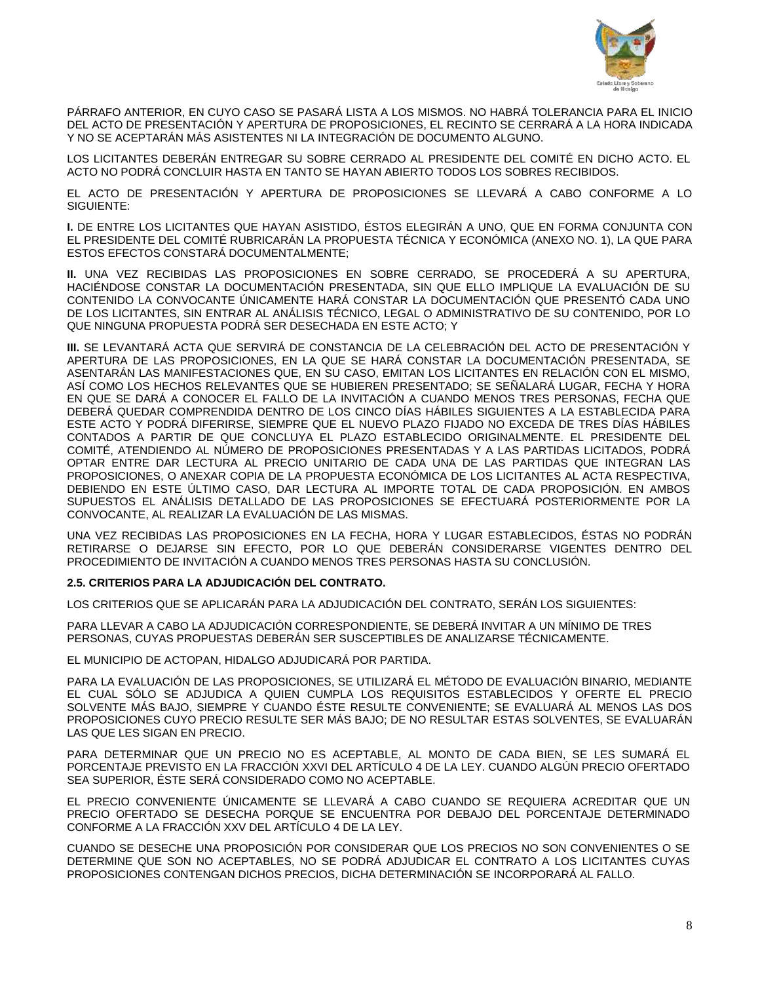

PÁRRAFO ANTERIOR, EN CUYO CASO SE PASARÁ LISTA A LOS MISMOS. NO HABRÁ TOLERANCIA PARA EL INICIO DEL ACTO DE PRESENTACIÓN Y APERTURA DE PROPOSICIONES, EL RECINTO SE CERRARÁ A LA HORA INDICADA Y NO SE ACEPTARÁN MÁS ASISTENTES NI LA INTEGRACIÓN DE DOCUMENTO ALGUNO.

LOS LICITANTES DEBERÁN ENTREGAR SU SOBRE CERRADO AL PRESIDENTE DEL COMITÉ EN DICHO ACTO. EL ACTO NO PODRÁ CONCLUIR HASTA EN TANTO SE HAYAN ABIERTO TODOS LOS SOBRES RECIBIDOS.

EL ACTO DE PRESENTACIÓN Y APERTURA DE PROPOSICIONES SE LLEVARÁ A CABO CONFORME A LO SIGUIENTE:

**I.** DE ENTRE LOS LICITANTES QUE HAYAN ASISTIDO, ÉSTOS ELEGIRÁN A UNO, QUE EN FORMA CONJUNTA CON EL PRESIDENTE DEL COMITÉ RUBRICARÁN LA PROPUESTA TÉCNICA Y ECONÓMICA (ANEXO NO. 1), LA QUE PARA ESTOS EFECTOS CONSTARÁ DOCUMENTALMENTE;

**II.** UNA VEZ RECIBIDAS LAS PROPOSICIONES EN SOBRE CERRADO, SE PROCEDERÁ A SU APERTURA, HACIÉNDOSE CONSTAR LA DOCUMENTACIÓN PRESENTADA, SIN QUE ELLO IMPLIQUE LA EVALUACIÓN DE SU CONTENIDO LA CONVOCANTE ÚNICAMENTE HARÁ CONSTAR LA DOCUMENTACIÓN QUE PRESENTÓ CADA UNO DE LOS LICITANTES, SIN ENTRAR AL ANÁLISIS TÉCNICO, LEGAL O ADMINISTRATIVO DE SU CONTENIDO, POR LO QUE NINGUNA PROPUESTA PODRÁ SER DESECHADA EN ESTE ACTO; Y

**III.** SE LEVANTARÁ ACTA QUE SERVIRÁ DE CONSTANCIA DE LA CELEBRACIÓN DEL ACTO DE PRESENTACIÓN Y APERTURA DE LAS PROPOSICIONES, EN LA QUE SE HARÁ CONSTAR LA DOCUMENTACIÓN PRESENTADA, SE ASENTARÁN LAS MANIFESTACIONES QUE, EN SU CASO, EMITAN LOS LICITANTES EN RELACIÓN CON EL MISMO, ASÍ COMO LOS HECHOS RELEVANTES QUE SE HUBIEREN PRESENTADO; SE SEÑALARÁ LUGAR, FECHA Y HORA EN QUE SE DARÁ A CONOCER EL FALLO DE LA INVITACIÓN A CUANDO MENOS TRES PERSONAS, FECHA QUE DEBERÁ QUEDAR COMPRENDIDA DENTRO DE LOS CINCO DÍAS HÁBILES SIGUIENTES A LA ESTABLECIDA PARA ESTE ACTO Y PODRÁ DIFERIRSE, SIEMPRE QUE EL NUEVO PLAZO FIJADO NO EXCEDA DE TRES DÍAS HÁBILES CONTADOS A PARTIR DE QUE CONCLUYA EL PLAZO ESTABLECIDO ORIGINALMENTE. EL PRESIDENTE DEL COMITÉ, ATENDIENDO AL NÚMERO DE PROPOSICIONES PRESENTADAS Y A LAS PARTIDAS LICITADOS, PODRÁ OPTAR ENTRE DAR LECTURA AL PRECIO UNITARIO DE CADA UNA DE LAS PARTIDAS QUE INTEGRAN LAS PROPOSICIONES, O ANEXAR COPIA DE LA PROPUESTA ECONÓMICA DE LOS LICITANTES AL ACTA RESPECTIVA, DEBIENDO EN ESTE ÚLTIMO CASO, DAR LECTURA AL IMPORTE TOTAL DE CADA PROPOSICIÓN. EN AMBOS SUPUESTOS EL ANÁLISIS DETALLADO DE LAS PROPOSICIONES SE EFECTUARÁ POSTERIORMENTE POR LA CONVOCANTE, AL REALIZAR LA EVALUACIÓN DE LAS MISMAS.

UNA VEZ RECIBIDAS LAS PROPOSICIONES EN LA FECHA, HORA Y LUGAR ESTABLECIDOS, ÉSTAS NO PODRÁN RETIRARSE O DEJARSE SIN EFECTO, POR LO QUE DEBERÁN CONSIDERARSE VIGENTES DENTRO DEL PROCEDIMIENTO DE INVITACIÓN A CUANDO MENOS TRES PERSONAS HASTA SU CONCLUSIÓN.

### **2.5. CRITERIOS PARA LA ADJUDICACIÓN DEL CONTRATO.**

LOS CRITERIOS QUE SE APLICARÁN PARA LA ADJUDICACIÓN DEL CONTRATO, SERÁN LOS SIGUIENTES:

PARA LLEVAR A CABO LA ADJUDICACIÓN CORRESPONDIENTE, SE DEBERÁ INVITAR A UN MÍNIMO DE TRES PERSONAS, CUYAS PROPUESTAS DEBERÁN SER SUSCEPTIBLES DE ANALIZARSE TÉCNICAMENTE.

EL MUNICIPIO DE ACTOPAN, HIDALGO ADJUDICARÁ POR PARTIDA.

PARA LA EVALUACIÓN DE LAS PROPOSICIONES, SE UTILIZARÁ EL MÉTODO DE EVALUACIÓN BINARIO, MEDIANTE EL CUAL SÓLO SE ADJUDICA A QUIEN CUMPLA LOS REQUISITOS ESTABLECIDOS Y OFERTE EL PRECIO SOLVENTE MÁS BAJO, SIEMPRE Y CUANDO ÉSTE RESULTE CONVENIENTE; SE EVALUARÁ AL MENOS LAS DOS PROPOSICIONES CUYO PRECIO RESULTE SER MÁS BAJO; DE NO RESULTAR ESTAS SOLVENTES, SE EVALUARÁN LAS QUE LES SIGAN EN PRECIO.

PARA DETERMINAR QUE UN PRECIO NO ES ACEPTABLE, AL MONTO DE CADA BIEN, SE LES SUMARÁ EL PORCENTAJE PREVISTO EN LA FRACCIÓN XXVI DEL ARTÍCULO 4 DE LA LEY. CUANDO ALGÚN PRECIO OFERTADO SEA SUPERIOR, ÉSTE SERÁ CONSIDERADO COMO NO ACEPTABLE.

EL PRECIO CONVENIENTE ÚNICAMENTE SE LLEVARÁ A CABO CUANDO SE REQUIERA ACREDITAR QUE UN PRECIO OFERTADO SE DESECHA PORQUE SE ENCUENTRA POR DEBAJO DEL PORCENTAJE DETERMINADO CONFORME A LA FRACCIÓN XXV DEL ARTÍCULO 4 DE LA LEY.

CUANDO SE DESECHE UNA PROPOSICIÓN POR CONSIDERAR QUE LOS PRECIOS NO SON CONVENIENTES O SE DETERMINE QUE SON NO ACEPTABLES, NO SE PODRÁ ADJUDICAR EL CONTRATO A LOS LICITANTES CUYAS PROPOSICIONES CONTENGAN DICHOS PRECIOS, DICHA DETERMINACIÓN SE INCORPORARÁ AL FALLO.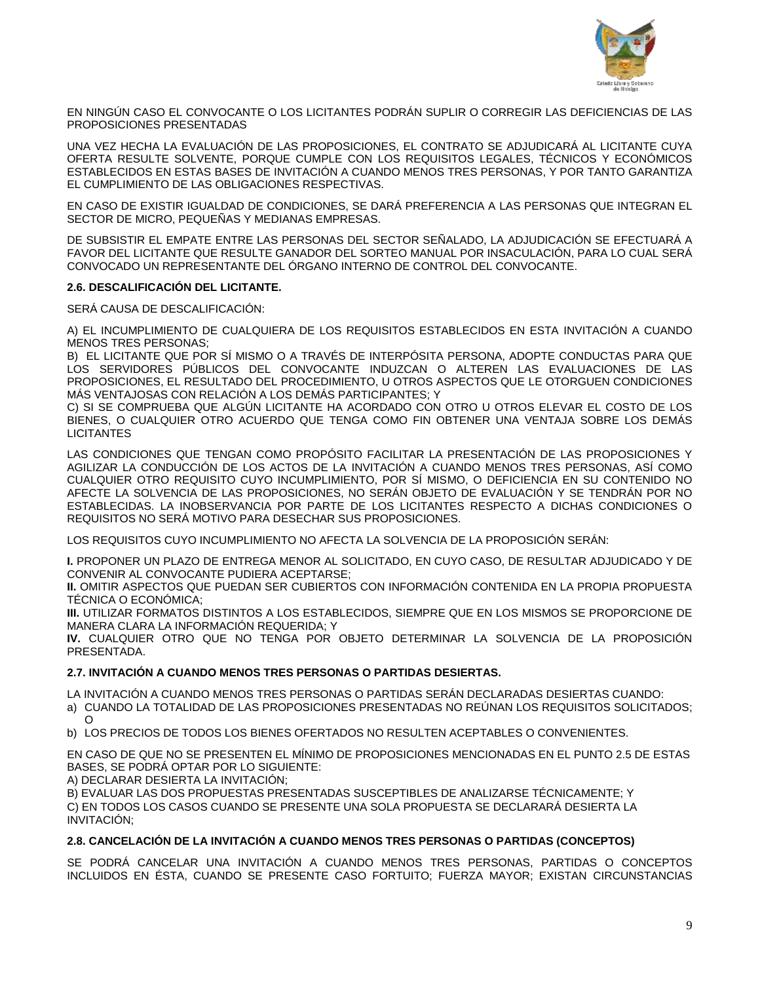

EN NINGÚN CASO EL CONVOCANTE O LOS LICITANTES PODRÁN SUPLIR O CORREGIR LAS DEFICIENCIAS DE LAS PROPOSICIONES PRESENTADAS

UNA VEZ HECHA LA EVALUACIÓN DE LAS PROPOSICIONES, EL CONTRATO SE ADJUDICARÁ AL LICITANTE CUYA OFERTA RESULTE SOLVENTE, PORQUE CUMPLE CON LOS REQUISITOS LEGALES, TÉCNICOS Y ECONÓMICOS ESTABLECIDOS EN ESTAS BASES DE INVITACIÓN A CUANDO MENOS TRES PERSONAS, Y POR TANTO GARANTIZA EL CUMPLIMIENTO DE LAS OBLIGACIONES RESPECTIVAS.

EN CASO DE EXISTIR IGUALDAD DE CONDICIONES, SE DARÁ PREFERENCIA A LAS PERSONAS QUE INTEGRAN EL SECTOR DE MICRO, PEQUEÑAS Y MEDIANAS EMPRESAS.

DE SUBSISTIR EL EMPATE ENTRE LAS PERSONAS DEL SECTOR SEÑALADO, LA ADJUDICACIÓN SE EFECTUARÁ A FAVOR DEL LICITANTE QUE RESULTE GANADOR DEL SORTEO MANUAL POR INSACULACIÓN, PARA LO CUAL SERÁ CONVOCADO UN REPRESENTANTE DEL ÓRGANO INTERNO DE CONTROL DEL CONVOCANTE.

## **2.6. DESCALIFICACIÓN DEL LICITANTE.**

SERÁ CAUSA DE DESCALIFICACIÓN:

A) EL INCUMPLIMIENTO DE CUALQUIERA DE LOS REQUISITOS ESTABLECIDOS EN ESTA INVITACIÓN A CUANDO MENOS TRES PERSONAS;

B) EL LICITANTE QUE POR SÍ MISMO O A TRAVÉS DE INTERPÓSITA PERSONA, ADOPTE CONDUCTAS PARA QUE LOS SERVIDORES PÚBLICOS DEL CONVOCANTE INDUZCAN O ALTEREN LAS EVALUACIONES DE LAS PROPOSICIONES, EL RESULTADO DEL PROCEDIMIENTO, U OTROS ASPECTOS QUE LE OTORGUEN CONDICIONES MÁS VENTAJOSAS CON RELACIÓN A LOS DEMÁS PARTICIPANTES; Y

C) SI SE COMPRUEBA QUE ALGÚN LICITANTE HA ACORDADO CON OTRO U OTROS ELEVAR EL COSTO DE LOS BIENES, O CUALQUIER OTRO ACUERDO QUE TENGA COMO FIN OBTENER UNA VENTAJA SOBRE LOS DEMÁS LICITANTES

LAS CONDICIONES QUE TENGAN COMO PROPÓSITO FACILITAR LA PRESENTACIÓN DE LAS PROPOSICIONES Y AGILIZAR LA CONDUCCIÓN DE LOS ACTOS DE LA INVITACIÓN A CUANDO MENOS TRES PERSONAS, ASÍ COMO CUALQUIER OTRO REQUISITO CUYO INCUMPLIMIENTO, POR SÍ MISMO, O DEFICIENCIA EN SU CONTENIDO NO AFECTE LA SOLVENCIA DE LAS PROPOSICIONES, NO SERÁN OBJETO DE EVALUACIÓN Y SE TENDRÁN POR NO ESTABLECIDAS. LA INOBSERVANCIA POR PARTE DE LOS LICITANTES RESPECTO A DICHAS CONDICIONES O REQUISITOS NO SERÁ MOTIVO PARA DESECHAR SUS PROPOSICIONES.

LOS REQUISITOS CUYO INCUMPLIMIENTO NO AFECTA LA SOLVENCIA DE LA PROPOSICIÓN SERÁN:

**I.** PROPONER UN PLAZO DE ENTREGA MENOR AL SOLICITADO, EN CUYO CASO, DE RESULTAR ADJUDICADO Y DE CONVENIR AL CONVOCANTE PUDIERA ACEPTARSE;

**II.** OMITIR ASPECTOS QUE PUEDAN SER CUBIERTOS CON INFORMACIÓN CONTENIDA EN LA PROPIA PROPUESTA TÉCNICA O ECONÓMICA;

**III.** UTILIZAR FORMATOS DISTINTOS A LOS ESTABLECIDOS, SIEMPRE QUE EN LOS MISMOS SE PROPORCIONE DE MANERA CLARA LA INFORMACIÓN REQUERIDA; Y

**IV.** CUALQUIER OTRO QUE NO TENGA POR OBJETO DETERMINAR LA SOLVENCIA DE LA PROPOSICIÓN PRESENTADA.

## **2.7. INVITACIÓN A CUANDO MENOS TRES PERSONAS O PARTIDAS DESIERTAS.**

LA INVITACIÓN A CUANDO MENOS TRES PERSONAS O PARTIDAS SERÁN DECLARADAS DESIERTAS CUANDO:

a) CUANDO LA TOTALIDAD DE LAS PROPOSICIONES PRESENTADAS NO REÚNAN LOS REQUISITOS SOLICITADOS; O

b) LOS PRECIOS DE TODOS LOS BIENES OFERTADOS NO RESULTEN ACEPTABLES O CONVENIENTES.

EN CASO DE QUE NO SE PRESENTEN EL MÍNIMO DE PROPOSICIONES MENCIONADAS EN EL PUNTO 2.5 DE ESTAS BASES, SE PODRÁ OPTAR POR LO SIGUIENTE:

A) DECLARAR DESIERTA LA INVITACIÓN;

B) EVALUAR LAS DOS PROPUESTAS PRESENTADAS SUSCEPTIBLES DE ANALIZARSE TÉCNICAMENTE; Y C) EN TODOS LOS CASOS CUANDO SE PRESENTE UNA SOLA PROPUESTA SE DECLARARÁ DESIERTA LA INVITACIÓN;

## **2.8. CANCELACIÓN DE LA INVITACIÓN A CUANDO MENOS TRES PERSONAS O PARTIDAS (CONCEPTOS)**

SE PODRÁ CANCELAR UNA INVITACIÓN A CUANDO MENOS TRES PERSONAS, PARTIDAS O CONCEPTOS INCLUIDOS EN ÉSTA, CUANDO SE PRESENTE CASO FORTUITO; FUERZA MAYOR; EXISTAN CIRCUNSTANCIAS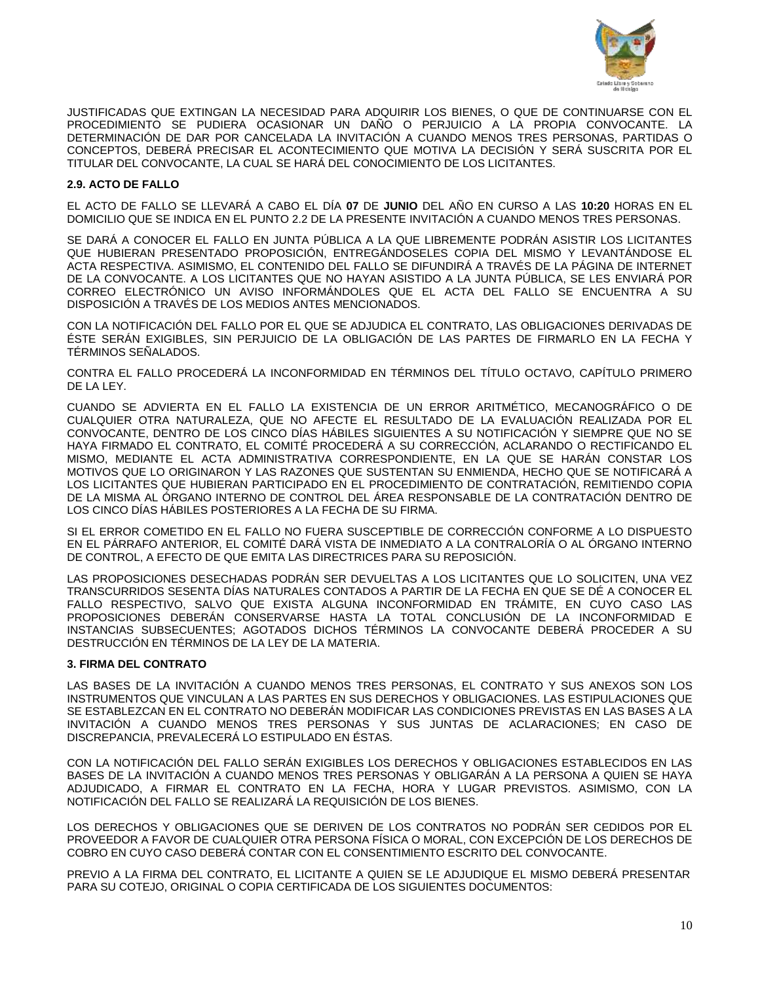

JUSTIFICADAS QUE EXTINGAN LA NECESIDAD PARA ADQUIRIR LOS BIENES, O QUE DE CONTINUARSE CON EL PROCEDIMIENTO SE PUDIERA OCASIONAR UN DAÑO O PERJUICIO A LA PROPIA CONVOCANTE. LA DETERMINACIÓN DE DAR POR CANCELADA LA INVITACIÓN A CUANDO MENOS TRES PERSONAS, PARTIDAS O CONCEPTOS, DEBERÁ PRECISAR EL ACONTECIMIENTO QUE MOTIVA LA DECISIÓN Y SERÁ SUSCRITA POR EL TITULAR DEL CONVOCANTE, LA CUAL SE HARÁ DEL CONOCIMIENTO DE LOS LICITANTES.

## **2.9. ACTO DE FALLO**

EL ACTO DE FALLO SE LLEVARÁ A CABO EL DÍA **07** DE **JUNIO** DEL AÑO EN CURSO A LAS **10:20** HORAS EN EL DOMICILIO QUE SE INDICA EN EL PUNTO 2.2 DE LA PRESENTE INVITACIÓN A CUANDO MENOS TRES PERSONAS.

SE DARÁ A CONOCER EL FALLO EN JUNTA PÚBLICA A LA QUE LIBREMENTE PODRÁN ASISTIR LOS LICITANTES QUE HUBIERAN PRESENTADO PROPOSICIÓN, ENTREGÁNDOSELES COPIA DEL MISMO Y LEVANTÁNDOSE EL ACTA RESPECTIVA. ASIMISMO, EL CONTENIDO DEL FALLO SE DIFUNDIRÁ A TRAVÉS DE LA PÁGINA DE INTERNET DE LA CONVOCANTE. A LOS LICITANTES QUE NO HAYAN ASISTIDO A LA JUNTA PÚBLICA, SE LES ENVIARÁ POR CORREO ELECTRÓNICO UN AVISO INFORMÁNDOLES QUE EL ACTA DEL FALLO SE ENCUENTRA A SU DISPOSICIÓN A TRAVÉS DE LOS MEDIOS ANTES MENCIONADOS.

CON LA NOTIFICACIÓN DEL FALLO POR EL QUE SE ADJUDICA EL CONTRATO, LAS OBLIGACIONES DERIVADAS DE ÉSTE SERÁN EXIGIBLES, SIN PERJUICIO DE LA OBLIGACIÓN DE LAS PARTES DE FIRMARLO EN LA FECHA Y TÉRMINOS SEÑALADOS.

CONTRA EL FALLO PROCEDERÁ LA INCONFORMIDAD EN TÉRMINOS DEL TÍTULO OCTAVO, CAPÍTULO PRIMERO DE LA LEY.

CUANDO SE ADVIERTA EN EL FALLO LA EXISTENCIA DE UN ERROR ARITMÉTICO, MECANOGRÁFICO O DE CUALQUIER OTRA NATURALEZA, QUE NO AFECTE EL RESULTADO DE LA EVALUACIÓN REALIZADA POR EL CONVOCANTE, DENTRO DE LOS CINCO DÍAS HÁBILES SIGUIENTES A SU NOTIFICACIÓN Y SIEMPRE QUE NO SE HAYA FIRMADO EL CONTRATO, EL COMITÉ PROCEDERÁ A SU CORRECCIÓN, ACLARANDO O RECTIFICANDO EL MISMO, MEDIANTE EL ACTA ADMINISTRATIVA CORRESPONDIENTE, EN LA QUE SE HARÁN CONSTAR LOS MOTIVOS QUE LO ORIGINARON Y LAS RAZONES QUE SUSTENTAN SU ENMIENDA, HECHO QUE SE NOTIFICARÁ A LOS LICITANTES QUE HUBIERAN PARTICIPADO EN EL PROCEDIMIENTO DE CONTRATACIÓN, REMITIENDO COPIA DE LA MISMA AL ÓRGANO INTERNO DE CONTROL DEL ÁREA RESPONSABLE DE LA CONTRATACIÓN DENTRO DE LOS CINCO DÍAS HÁBILES POSTERIORES A LA FECHA DE SU FIRMA.

SI EL ERROR COMETIDO EN EL FALLO NO FUERA SUSCEPTIBLE DE CORRECCIÓN CONFORME A LO DISPUESTO EN EL PÁRRAFO ANTERIOR, EL COMITÉ DARÁ VISTA DE INMEDIATO A LA CONTRALORÍA O AL ÓRGANO INTERNO DE CONTROL, A EFECTO DE QUE EMITA LAS DIRECTRICES PARA SU REPOSICIÓN.

LAS PROPOSICIONES DESECHADAS PODRÁN SER DEVUELTAS A LOS LICITANTES QUE LO SOLICITEN, UNA VEZ TRANSCURRIDOS SESENTA DÍAS NATURALES CONTADOS A PARTIR DE LA FECHA EN QUE SE DÉ A CONOCER EL FALLO RESPECTIVO, SALVO QUE EXISTA ALGUNA INCONFORMIDAD EN TRÁMITE, EN CUYO CASO LAS PROPOSICIONES DEBERÁN CONSERVARSE HASTA LA TOTAL CONCLUSIÓN DE LA INCONFORMIDAD E INSTANCIAS SUBSECUENTES; AGOTADOS DICHOS TÉRMINOS LA CONVOCANTE DEBERÁ PROCEDER A SU DESTRUCCIÓN EN TÉRMINOS DE LA LEY DE LA MATERIA.

### **3. FIRMA DEL CONTRATO**

LAS BASES DE LA INVITACIÓN A CUANDO MENOS TRES PERSONAS, EL CONTRATO Y SUS ANEXOS SON LOS INSTRUMENTOS QUE VINCULAN A LAS PARTES EN SUS DERECHOS Y OBLIGACIONES. LAS ESTIPULACIONES QUE SE ESTABLEZCAN EN EL CONTRATO NO DEBERÁN MODIFICAR LAS CONDICIONES PREVISTAS EN LAS BASES A LA INVITACIÓN A CUANDO MENOS TRES PERSONAS Y SUS JUNTAS DE ACLARACIONES; EN CASO DE DISCREPANCIA, PREVALECERÁ LO ESTIPULADO EN ÉSTAS.

CON LA NOTIFICACIÓN DEL FALLO SERÁN EXIGIBLES LOS DERECHOS Y OBLIGACIONES ESTABLECIDOS EN LAS BASES DE LA INVITACIÓN A CUANDO MENOS TRES PERSONAS Y OBLIGARÁN A LA PERSONA A QUIEN SE HAYA ADJUDICADO, A FIRMAR EL CONTRATO EN LA FECHA, HORA Y LUGAR PREVISTOS. ASIMISMO, CON LA NOTIFICACIÓN DEL FALLO SE REALIZARÁ LA REQUISICIÓN DE LOS BIENES.

LOS DERECHOS Y OBLIGACIONES QUE SE DERIVEN DE LOS CONTRATOS NO PODRÁN SER CEDIDOS POR EL PROVEEDOR A FAVOR DE CUALQUIER OTRA PERSONA FÍSICA O MORAL, CON EXCEPCIÓN DE LOS DERECHOS DE COBRO EN CUYO CASO DEBERÁ CONTAR CON EL CONSENTIMIENTO ESCRITO DEL CONVOCANTE.

PREVIO A LA FIRMA DEL CONTRATO, EL LICITANTE A QUIEN SE LE ADJUDIQUE EL MISMO DEBERÁ PRESENTAR PARA SU COTEJO, ORIGINAL O COPIA CERTIFICADA DE LOS SIGUIENTES DOCUMENTOS: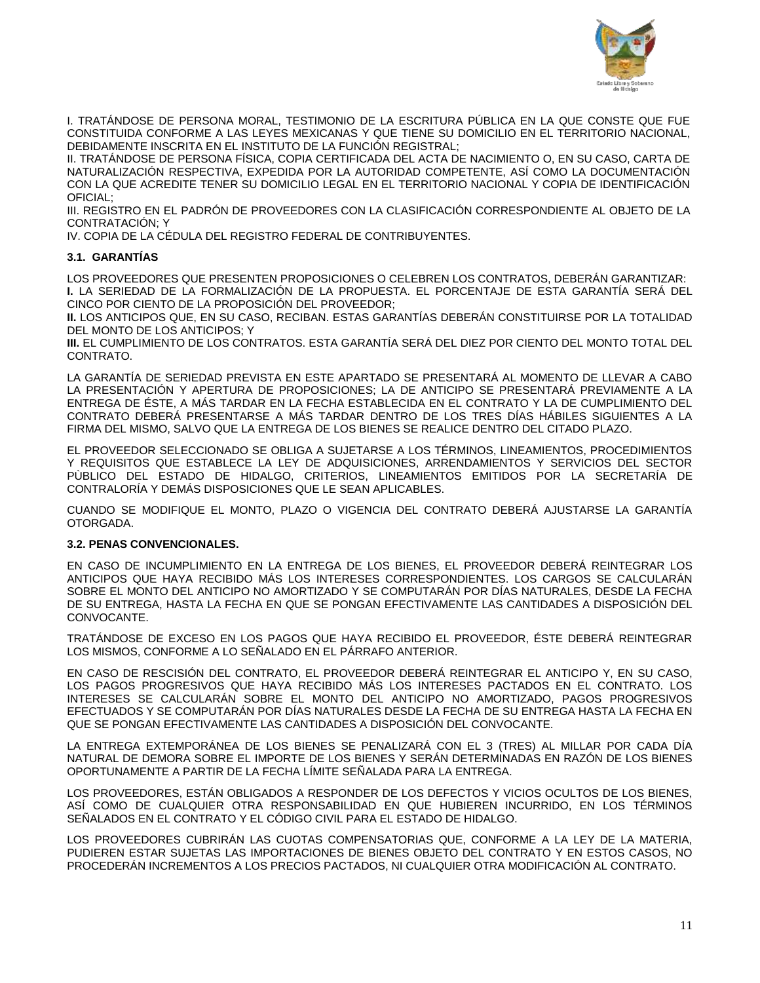

I. TRATÁNDOSE DE PERSONA MORAL, TESTIMONIO DE LA ESCRITURA PÚBLICA EN LA QUE CONSTE QUE FUE CONSTITUIDA CONFORME A LAS LEYES MEXICANAS Y QUE TIENE SU DOMICILIO EN EL TERRITORIO NACIONAL, DEBIDAMENTE INSCRITA EN EL INSTITUTO DE LA FUNCIÓN REGISTRAL;

II. TRATÁNDOSE DE PERSONA FÍSICA, COPIA CERTIFICADA DEL ACTA DE NACIMIENTO O, EN SU CASO, CARTA DE NATURALIZACIÓN RESPECTIVA, EXPEDIDA POR LA AUTORIDAD COMPETENTE, ASÍ COMO LA DOCUMENTACIÓN CON LA QUE ACREDITE TENER SU DOMICILIO LEGAL EN EL TERRITORIO NACIONAL Y COPIA DE IDENTIFICACIÓN OFICIAL;

III. REGISTRO EN EL PADRÓN DE PROVEEDORES CON LA CLASIFICACIÓN CORRESPONDIENTE AL OBJETO DE LA CONTRATACIÓN; Y

IV. COPIA DE LA CÉDULA DEL REGISTRO FEDERAL DE CONTRIBUYENTES.

## **3.1. GARANTÍAS**

LOS PROVEEDORES QUE PRESENTEN PROPOSICIONES O CELEBREN LOS CONTRATOS, DEBERÁN GARANTIZAR: **I.** LA SERIEDAD DE LA FORMALIZACIÓN DE LA PROPUESTA. EL PORCENTAJE DE ESTA GARANTÍA SERÁ DEL CINCO POR CIENTO DE LA PROPOSICIÓN DEL PROVEEDOR;

**II.** LOS ANTICIPOS QUE, EN SU CASO, RECIBAN. ESTAS GARANTÍAS DEBERÁN CONSTITUIRSE POR LA TOTALIDAD DEL MONTO DE LOS ANTICIPOS; Y

**III.** EL CUMPLIMIENTO DE LOS CONTRATOS. ESTA GARANTÍA SERÁ DEL DIEZ POR CIENTO DEL MONTO TOTAL DEL CONTRATO.

LA GARANTÍA DE SERIEDAD PREVISTA EN ESTE APARTADO SE PRESENTARÁ AL MOMENTO DE LLEVAR A CABO LA PRESENTACIÓN Y APERTURA DE PROPOSICIONES; LA DE ANTICIPO SE PRESENTARÁ PREVIAMENTE A LA ENTREGA DE ÉSTE, A MÁS TARDAR EN LA FECHA ESTABLECIDA EN EL CONTRATO Y LA DE CUMPLIMIENTO DEL CONTRATO DEBERÁ PRESENTARSE A MÁS TARDAR DENTRO DE LOS TRES DÍAS HÁBILES SIGUIENTES A LA FIRMA DEL MISMO, SALVO QUE LA ENTREGA DE LOS BIENES SE REALICE DENTRO DEL CITADO PLAZO.

EL PROVEEDOR SELECCIONADO SE OBLIGA A SUJETARSE A LOS TÉRMINOS, LINEAMIENTOS, PROCEDIMIENTOS Y REQUISITOS QUE ESTABLECE LA LEY DE ADQUISICIONES, ARRENDAMIENTOS Y SERVICIOS DEL SECTOR PÙBLICO DEL ESTADO DE HIDALGO, CRITERIOS, LINEAMIENTOS EMITIDOS POR LA SECRETARÍA DE CONTRALORÍA Y DEMÁS DISPOSICIONES QUE LE SEAN APLICABLES.

CUANDO SE MODIFIQUE EL MONTO, PLAZO O VIGENCIA DEL CONTRATO DEBERÁ AJUSTARSE LA GARANTÍA OTORGADA.

### **3.2. PENAS CONVENCIONALES.**

EN CASO DE INCUMPLIMIENTO EN LA ENTREGA DE LOS BIENES, EL PROVEEDOR DEBERÁ REINTEGRAR LOS ANTICIPOS QUE HAYA RECIBIDO MÁS LOS INTERESES CORRESPONDIENTES. LOS CARGOS SE CALCULARÁN SOBRE EL MONTO DEL ANTICIPO NO AMORTIZADO Y SE COMPUTARÁN POR DÍAS NATURALES, DESDE LA FECHA DE SU ENTREGA, HASTA LA FECHA EN QUE SE PONGAN EFECTIVAMENTE LAS CANTIDADES A DISPOSICIÓN DEL CONVOCANTE.

TRATÁNDOSE DE EXCESO EN LOS PAGOS QUE HAYA RECIBIDO EL PROVEEDOR, ÉSTE DEBERÁ REINTEGRAR LOS MISMOS, CONFORME A LO SEÑALADO EN EL PÁRRAFO ANTERIOR.

EN CASO DE RESCISIÓN DEL CONTRATO, EL PROVEEDOR DEBERÁ REINTEGRAR EL ANTICIPO Y, EN SU CASO, LOS PAGOS PROGRESIVOS QUE HAYA RECIBIDO MÁS LOS INTERESES PACTADOS EN EL CONTRATO. LOS INTERESES SE CALCULARÁN SOBRE EL MONTO DEL ANTICIPO NO AMORTIZADO, PAGOS PROGRESIVOS EFECTUADOS Y SE COMPUTARÁN POR DÍAS NATURALES DESDE LA FECHA DE SU ENTREGA HASTA LA FECHA EN QUE SE PONGAN EFECTIVAMENTE LAS CANTIDADES A DISPOSICIÓN DEL CONVOCANTE.

LA ENTREGA EXTEMPORÁNEA DE LOS BIENES SE PENALIZARÁ CON EL 3 (TRES) AL MILLAR POR CADA DÍA NATURAL DE DEMORA SOBRE EL IMPORTE DE LOS BIENES Y SERÁN DETERMINADAS EN RAZÓN DE LOS BIENES OPORTUNAMENTE A PARTIR DE LA FECHA LÍMITE SEÑALADA PARA LA ENTREGA.

LOS PROVEEDORES, ESTÁN OBLIGADOS A RESPONDER DE LOS DEFECTOS Y VICIOS OCULTOS DE LOS BIENES, ASÍ COMO DE CUALQUIER OTRA RESPONSABILIDAD EN QUE HUBIEREN INCURRIDO, EN LOS TÉRMINOS SEÑALADOS EN EL CONTRATO Y EL CÓDIGO CIVIL PARA EL ESTADO DE HIDALGO.

LOS PROVEEDORES CUBRIRÁN LAS CUOTAS COMPENSATORIAS QUE, CONFORME A LA LEY DE LA MATERIA, PUDIEREN ESTAR SUJETAS LAS IMPORTACIONES DE BIENES OBJETO DEL CONTRATO Y EN ESTOS CASOS, NO PROCEDERÁN INCREMENTOS A LOS PRECIOS PACTADOS, NI CUALQUIER OTRA MODIFICACIÓN AL CONTRATO.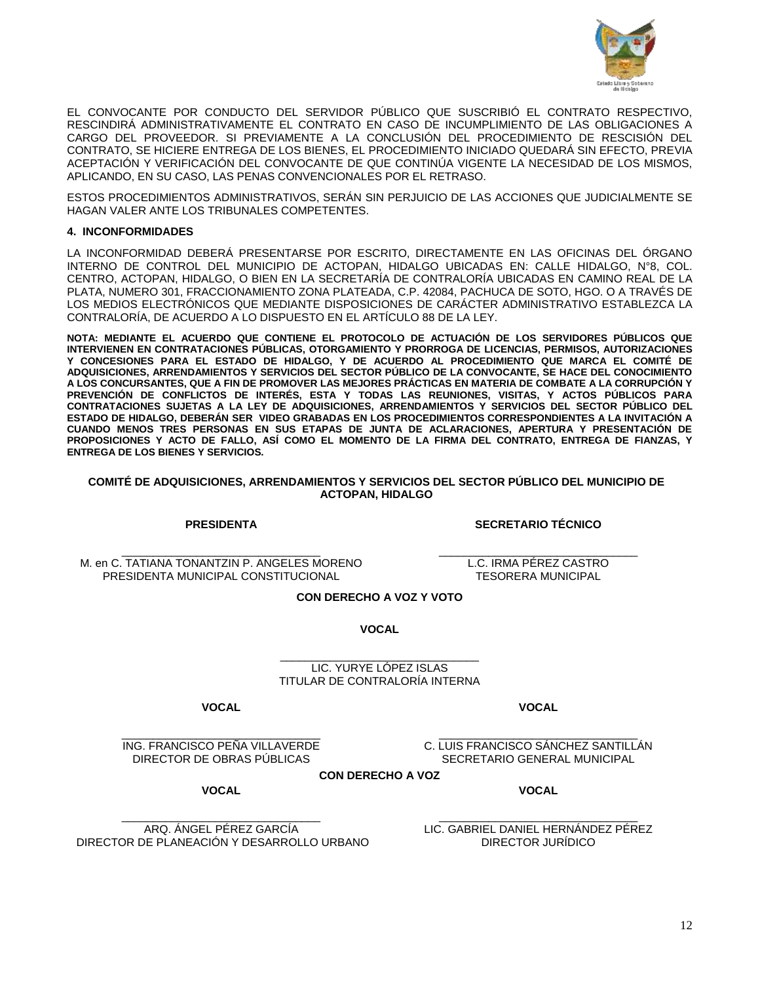

EL CONVOCANTE POR CONDUCTO DEL SERVIDOR PÚBLICO QUE SUSCRIBIÓ EL CONTRATO RESPECTIVO, RESCINDIRÁ ADMINISTRATIVAMENTE EL CONTRATO EN CASO DE INCUMPLIMIENTO DE LAS OBLIGACIONES A CARGO DEL PROVEEDOR. SI PREVIAMENTE A LA CONCLUSIÓN DEL PROCEDIMIENTO DE RESCISIÓN DEL CONTRATO, SE HICIERE ENTREGA DE LOS BIENES, EL PROCEDIMIENTO INICIADO QUEDARÁ SIN EFECTO, PREVIA ACEPTACIÓN Y VERIFICACIÓN DEL CONVOCANTE DE QUE CONTINÚA VIGENTE LA NECESIDAD DE LOS MISMOS, APLICANDO, EN SU CASO, LAS PENAS CONVENCIONALES POR EL RETRASO.

ESTOS PROCEDIMIENTOS ADMINISTRATIVOS, SERÁN SIN PERJUICIO DE LAS ACCIONES QUE JUDICIALMENTE SE HAGAN VALER ANTE LOS TRIBUNALES COMPETENTES.

## **4. INCONFORMIDADES**

LA INCONFORMIDAD DEBERÁ PRESENTARSE POR ESCRITO, DIRECTAMENTE EN LAS OFICINAS DEL ÓRGANO INTERNO DE CONTROL DEL MUNICIPIO DE ACTOPAN, HIDALGO UBICADAS EN: CALLE HIDALGO, N°8, COL. CENTRO, ACTOPAN, HIDALGO, O BIEN EN LA SECRETARÍA DE CONTRALORÍA UBICADAS EN CAMINO REAL DE LA PLATA, NUMERO 301, FRACCIONAMIENTO ZONA PLATEADA, C.P. 42084, PACHUCA DE SOTO, HGO. O A TRAVÉS DE LOS MEDIOS ELECTRÓNICOS QUE MEDIANTE DISPOSICIONES DE CARÁCTER ADMINISTRATIVO ESTABLEZCA LA CONTRALORÍA, DE ACUERDO A LO DISPUESTO EN EL ARTÍCULO 88 DE LA LEY.

**NOTA: MEDIANTE EL ACUERDO QUE CONTIENE EL PROTOCOLO DE ACTUACIÓN DE LOS SERVIDORES PÚBLICOS QUE INTERVIENEN EN CONTRATACIONES PÚBLICAS, OTORGAMIENTO Y PRORROGA DE LICENCIAS, PERMISOS, AUTORIZACIONES Y CONCESIONES PARA EL ESTADO DE HIDALGO, Y DE ACUERDO AL PROCEDIMIENTO QUE MARCA EL COMITÉ DE ADQUISICIONES, ARRENDAMIENTOS Y SERVICIOS DEL SECTOR PÚBLICO DE LA CONVOCANTE, SE HACE DEL CONOCIMIENTO A LOS CONCURSANTES, QUE A FIN DE PROMOVER LAS MEJORES PRÁCTICAS EN MATERIA DE COMBATE A LA CORRUPCIÓN Y PREVENCIÓN DE CONFLICTOS DE INTERÉS, ESTA Y TODAS LAS REUNIONES, VISITAS, Y ACTOS PÚBLICOS PARA CONTRATACIONES SUJETAS A LA LEY DE ADQUISICIONES, ARRENDAMIENTOS Y SERVICIOS DEL SECTOR PÚBLICO DEL ESTADO DE HIDALGO, DEBERÁN SER VIDEO GRABADAS EN LOS PROCEDIMIENTOS CORRESPONDIENTES A LA INVITACIÓN A CUANDO MENOS TRES PERSONAS EN SUS ETAPAS DE JUNTA DE ACLARACIONES, APERTURA Y PRESENTACIÓN DE PROPOSICIONES Y ACTO DE FALLO, ASÍ COMO EL MOMENTO DE LA FIRMA DEL CONTRATO, ENTREGA DE FIANZAS, Y ENTREGA DE LOS BIENES Y SERVICIOS.**

#### **COMITÉ DE ADQUISICIONES, ARRENDAMIENTOS Y SERVICIOS DEL SECTOR PÚBLICO DEL MUNICIPIO DE ACTOPAN, HIDALGO**

**PRESIDENTA**

**SECRETARIO TÉCNICO**

\_\_\_\_\_\_\_\_\_\_\_\_\_\_\_\_\_\_\_\_\_\_\_\_\_\_\_\_\_\_\_\_ M. en C. TATIANA TONANTZIN P. ANGELES MORENO PRESIDENTA MUNICIPAL CONSTITUCIONAL

\_\_\_\_\_\_\_\_\_\_\_\_\_\_\_\_\_\_\_\_\_\_\_\_\_\_\_\_\_\_\_\_ L.C. IRMA PÉREZ CASTRO TESORERA MUNICIPAL

**CON DERECHO A VOZ Y VOTO**

**VOCAL**

\_\_\_\_\_\_\_\_\_\_\_\_\_\_\_\_\_\_\_\_\_\_\_\_\_\_\_\_\_\_\_\_ LIC. YURYE LÓPEZ ISLAS TITULAR DE CONTRALORÍA INTERNA

**VOCAL**

**VOCAL**

\_\_\_\_\_\_\_\_\_\_\_\_\_\_\_\_\_\_\_\_\_\_\_\_\_\_\_\_\_\_\_\_ ING. FRANCISCO PEÑA VILLAVERDE DIRECTOR DE OBRAS PÚBLICAS

\_\_\_\_\_\_\_\_\_\_\_\_\_\_\_\_\_\_\_\_\_\_\_\_\_\_\_\_\_\_\_\_ C. LUIS FRANCISCO SÁNCHEZ SANTILLÁN SECRETARIO GENERAL MUNICIPAL

**VOCAL**

**CON DERECHO A VOZ**

**VOCAL**

\_\_\_\_\_\_\_\_\_\_\_\_\_\_\_\_\_\_\_\_\_\_\_\_\_\_\_\_\_\_\_\_ ARQ. ÁNGEL PÉREZ GARCÍA DIRECTOR DE PLANEACIÓN Y DESARROLLO URBANO

\_\_\_\_\_\_\_\_\_\_\_\_\_\_\_\_\_\_\_\_\_\_\_\_\_\_\_\_\_\_\_\_ LIC. GABRIEL DANIEL HERNÁNDEZ PÉREZ DIRECTOR JURÍDICO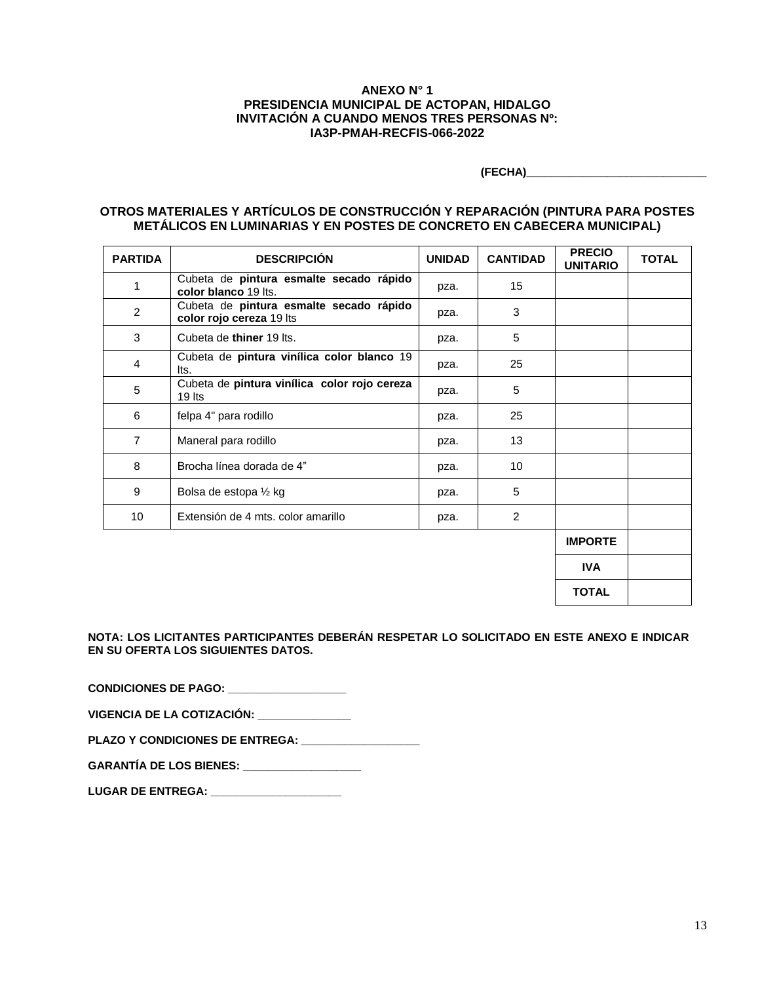## **ANEXO N° 1 PRESIDENCIA MUNICIPAL DE ACTOPAN, HIDALGO INVITACIÓN A CUANDO MENOS TRES PERSONAS Nº: IA3P-PMAH-RECFIS-066-2022**

**(FECHA)\_\_\_\_\_\_\_\_\_\_\_\_\_\_\_\_\_\_\_\_\_\_\_\_\_\_\_\_\_**

**TOTAL**

# **OTROS MATERIALES Y ARTÍCULOS DE CONSTRUCCIÓN Y REPARACIÓN (PINTURA PARA POSTES METÁLICOS EN LUMINARIAS Y EN POSTES DE CONCRETO EN CABECERA MUNICIPAL)**

| <b>PARTIDA</b> | <b>DESCRIPCIÓN</b>                                                  | <b>UNIDAD</b> | <b>CANTIDAD</b> | <b>PRECIO</b><br><b>UNITARIO</b> | <b>TOTAL</b> |
|----------------|---------------------------------------------------------------------|---------------|-----------------|----------------------------------|--------------|
| 1              | Cubeta de pintura esmalte secado rápido<br>color blanco 19 lts.     | pza.          | 15              |                                  |              |
| $\overline{c}$ | Cubeta de pintura esmalte secado rápido<br>color rojo cereza 19 lts | pza.          | 3               |                                  |              |
| 3              | Cubeta de thiner 19 lts.                                            | pza.          | 5               |                                  |              |
| 4              | Cubeta de pintura vinílica color blanco 19<br>lts.                  | pza.          | 25              |                                  |              |
| 5              | Cubeta de pintura vinílica color rojo cereza<br>$19$ lts            | pza.          | 5               |                                  |              |
| 6              | felpa 4" para rodillo                                               | pza.          | 25              |                                  |              |
| $\overline{7}$ | Maneral para rodillo                                                | pza.          | 13              |                                  |              |
| 8              | Brocha línea dorada de 4"                                           | pza.          | 10              |                                  |              |
| 9              | Bolsa de estopa 1/2 kg                                              | pza.          | 5               |                                  |              |
| 10             | Extensión de 4 mts. color amarillo                                  | pza.          | 2               |                                  |              |
|                |                                                                     |               |                 | <b>IMPORTE</b>                   |              |
|                |                                                                     |               |                 | <b>IVA</b>                       |              |

**NOTA: LOS LICITANTES PARTICIPANTES DEBERÁN RESPETAR LO SOLICITADO EN ESTE ANEXO E INDICAR EN SU OFERTA LOS SIGUIENTES DATOS.**

**CONDICIONES DE PAGO: \_\_\_\_\_\_\_\_\_\_\_\_\_\_\_\_\_\_\_** 

**VIGENCIA DE LA COTIZACIÓN: \_\_\_\_\_\_\_\_\_\_\_\_\_\_\_**

PLAZO Y CONDICIONES DE ENTREGA:

**GARANTÍA DE LOS BIENES: \_\_\_\_\_\_\_\_\_\_\_\_\_\_\_\_\_\_\_**

**LUGAR DE ENTREGA: \_\_\_\_\_\_\_\_\_\_\_\_\_\_\_\_\_\_\_\_\_**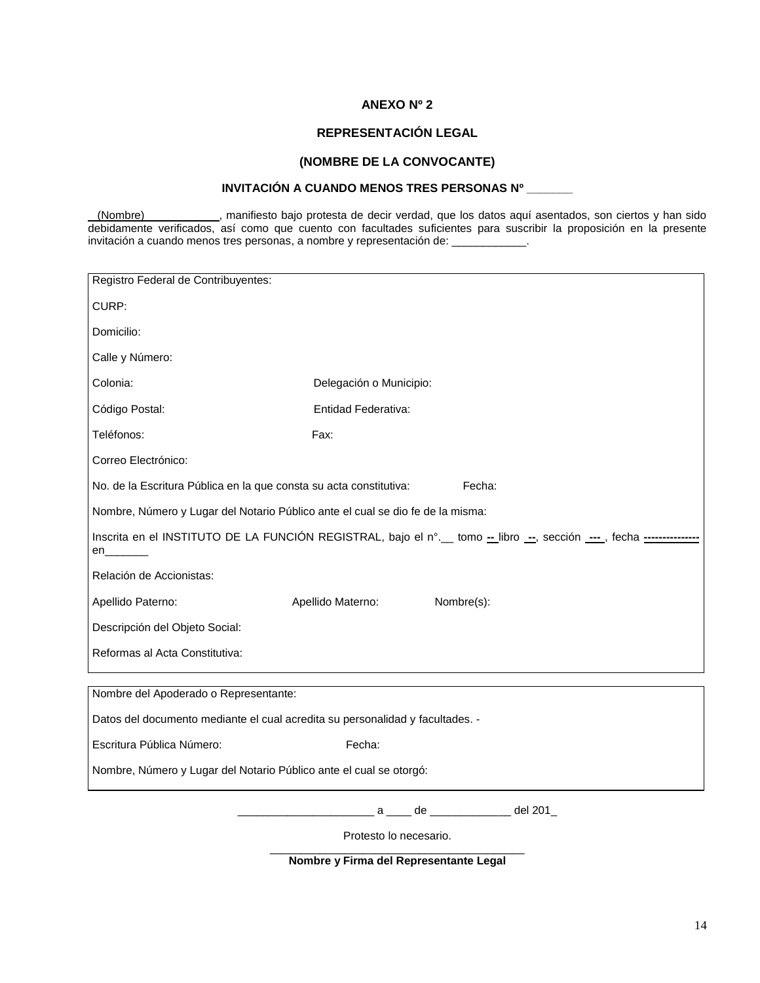# **ANEXO Nº 2**

# **REPRESENTACIÓN LEGAL**

# **(NOMBRE DE LA CONVOCANTE)**

# **INVITACIÓN A CUANDO MENOS TRES PERSONAS Nº \_\_\_\_\_\_\_**

(Nombre) , manifiesto bajo protesta de decir verdad, que los datos aquí asentados, son ciertos y han sido debidamente verificados, así como que cuento con facultades suficientes para suscribir la proposición en la presente invitación a cuando menos tres personas, a nombre y representación de: \_\_\_\_\_\_\_\_\_\_\_\_.

| Registro Federal de Contribuyentes:                                                                                   |                                  |  |  |  |  |  |  |
|-----------------------------------------------------------------------------------------------------------------------|----------------------------------|--|--|--|--|--|--|
| CURP:                                                                                                                 |                                  |  |  |  |  |  |  |
| Domicilio:                                                                                                            |                                  |  |  |  |  |  |  |
| Calle y Número:                                                                                                       |                                  |  |  |  |  |  |  |
| Colonia:                                                                                                              | Delegación o Municipio:          |  |  |  |  |  |  |
| Código Postal:                                                                                                        | <b>Entidad Federativa:</b>       |  |  |  |  |  |  |
| Teléfonos:                                                                                                            | Fax:                             |  |  |  |  |  |  |
| Correo Electrónico:                                                                                                   |                                  |  |  |  |  |  |  |
| No. de la Escritura Pública en la que consta su acta constitutiva:<br>Fecha:                                          |                                  |  |  |  |  |  |  |
| Nombre, Número y Lugar del Notario Público ante el cual se dio fe de la misma:                                        |                                  |  |  |  |  |  |  |
| Inscrita en el INSTITUTO DE LA FUNCIÓN REGISTRAL, bajo el n°. tomo -- libro --, sección ---, fecha -----------<br>en_ |                                  |  |  |  |  |  |  |
| Relación de Accionistas:                                                                                              |                                  |  |  |  |  |  |  |
| Apellido Paterno:                                                                                                     | Nombre(s):<br>Apellido Materno:  |  |  |  |  |  |  |
| Descripción del Objeto Social:                                                                                        |                                  |  |  |  |  |  |  |
| Reformas al Acta Constitutiva:                                                                                        |                                  |  |  |  |  |  |  |
| Nombre del Apoderado o Representante:                                                                                 |                                  |  |  |  |  |  |  |
| Datos del documento mediante el cual acredita su personalidad y facultades. -                                         |                                  |  |  |  |  |  |  |
| Escritura Pública Número:                                                                                             | Fecha:                           |  |  |  |  |  |  |
| Nombre, Número y Lugar del Notario Público ante el cual se otorgó:                                                    |                                  |  |  |  |  |  |  |
|                                                                                                                       | a ____ de __________ __ del 201_ |  |  |  |  |  |  |
| Protesto lo necesario.                                                                                                |                                  |  |  |  |  |  |  |

\_\_\_\_\_\_\_\_\_\_\_\_\_\_\_\_\_\_\_\_\_\_\_\_\_\_\_\_\_\_\_\_\_\_\_\_\_\_\_\_\_ **Nombre y Firma del Representante Legal**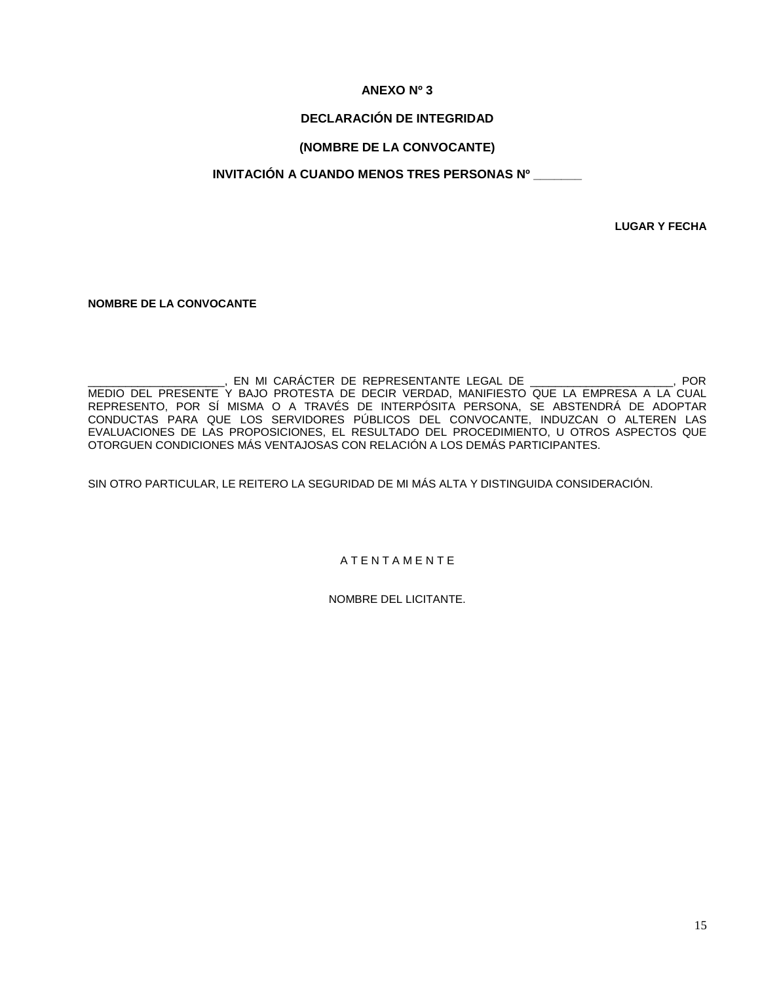# **ANEXO Nº 3**

# **DECLARACIÓN DE INTEGRIDAD**

# **(NOMBRE DE LA CONVOCANTE)**

# **INVITACIÓN A CUANDO MENOS TRES PERSONAS Nº \_\_\_\_\_\_\_**

**LUGAR Y FECHA**

**NOMBRE DE LA CONVOCANTE**

\_\_\_\_\_\_\_\_\_\_\_\_\_\_\_\_\_\_\_\_\_\_\_\_\_\_\_, EN MI CARÁCTER DE REPRESENTANTE LEGAL DE \_\_\_\_\_\_\_\_\_\_\_\_\_\_\_\_\_\_\_\_\_\_\_\_\_, POR MEDIO DEL PRESENTE Y BAJO PROTESTA DE DECIR VERDAD, MANIFIESTO QUE LA EMPRESA A LA CUAL REPRESENTO, POR SÍ MISMA O A TRAVÉS DE INTERPÓSITA PERSONA, SE ABSTENDRÁ DE ADOPTAR CONDUCTAS PARA QUE LOS SERVIDORES PÚBLICOS DEL CONVOCANTE, INDUZCAN O ALTEREN LAS EVALUACIONES DE LAS PROPOSICIONES, EL RESULTADO DEL PROCEDIMIENTO, U OTROS ASPECTOS QUE OTORGUEN CONDICIONES MÁS VENTAJOSAS CON RELACIÓN A LOS DEMÁS PARTICIPANTES.

SIN OTRO PARTICULAR, LE REITERO LA SEGURIDAD DE MI MÁS ALTA Y DISTINGUIDA CONSIDERACIÓN.

A T E N T A M E N T E

NOMBRE DEL LICITANTE.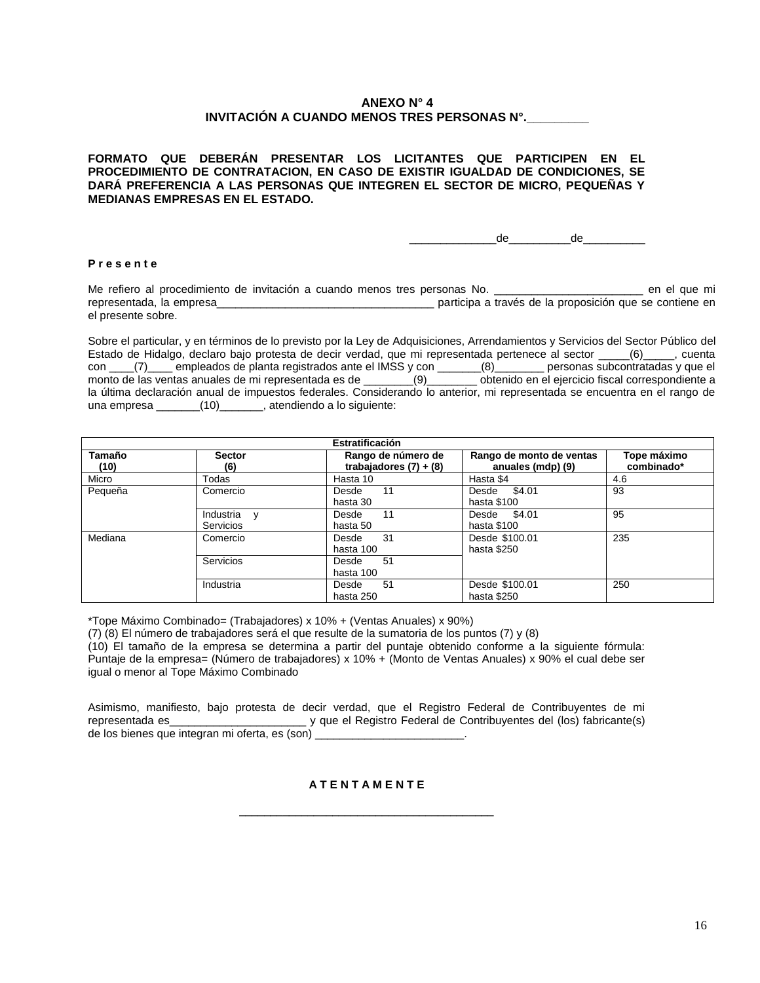# **ANEXO N° 4 INVITACIÓN A CUANDO MENOS TRES PERSONAS N°.\_\_\_\_\_\_\_\_\_**

**FORMATO QUE DEBERÁN PRESENTAR LOS LICITANTES QUE PARTICIPEN EN EL PROCEDIMIENTO DE CONTRATACION, EN CASO DE EXISTIR IGUALDAD DE CONDICIONES, SE DARÁ PREFERENCIA A LAS PERSONAS QUE INTEGREN EL SECTOR DE MICRO, PEQUEÑAS Y MEDIANAS EMPRESAS EN EL ESTADO.**

 $de$   $de$   $de$ 

#### **P r e s e n t e**

Me refiero al procedimiento de invitación a cuando menos tres personas No. \_\_\_\_\_\_\_\_\_\_\_\_\_\_\_\_\_\_\_\_\_\_\_\_\_\_\_\_\_ en el que mi representada, la empresa\_\_\_\_\_\_\_\_\_\_\_\_\_\_\_\_\_\_\_\_\_\_\_\_\_\_\_\_\_\_\_\_\_\_\_ participa a través de la proposición que se contiene en el presente sobre.

Sobre el particular, y en términos de lo previsto por la Ley de Adquisiciones, Arrendamientos y Servicios del Sector Público del Estado de Hidalgo, declaro bajo protesta de decir verdad, que mi representada pertenece al sector (6) cuenta con \_\_\_\_(7)\_\_\_\_ empleados de planta registrados ante el IMSS y con \_\_\_\_\_\_\_(8)\_\_\_\_\_\_\_\_ personas subcontratadas y que el monto de las ventas anuales de mi representada es de \_\_\_\_\_\_\_\_(9)\_\_\_\_\_\_\_\_ obtenido en el ejercicio fiscal correspondiente a la última declaración anual de impuestos federales. Considerando lo anterior, mi representada se encuentra en el rango de una empresa (10) atendiendo a lo siguiente:

| <b>Estratificación</b> |                                 |                                                |                                               |                           |  |  |  |
|------------------------|---------------------------------|------------------------------------------------|-----------------------------------------------|---------------------------|--|--|--|
| Tamaño<br>(10)         | <b>Sector</b><br>(6)            | Rango de número de<br>trabajadores $(7) + (8)$ | Rango de monto de ventas<br>anuales (mdp) (9) | Tope máximo<br>combinado* |  |  |  |
| Micro                  | Todas                           | Hasta 10                                       | Hasta \$4                                     | 4.6                       |  |  |  |
| Pequeña                | Comercio                        | 11<br>Desde<br>hasta 30                        | Desde \$4.01<br>hasta \$100                   | 93                        |  |  |  |
|                        | Industria y<br><b>Servicios</b> | 11<br>Desde<br>hasta 50                        | Desde \$4.01<br>hasta \$100                   | 95                        |  |  |  |
| Mediana                | Comercio                        | 31<br>Desde<br>hasta 100                       | Desde \$100.01<br>hasta \$250                 | 235                       |  |  |  |
|                        | Servicios                       | 51<br>Desde<br>hasta 100                       |                                               |                           |  |  |  |
|                        | Industria                       | 51<br>Desde<br>hasta 250                       | Desde \$100.01<br>hasta \$250                 | 250                       |  |  |  |

\*Tope Máximo Combinado= (Trabajadores) x 10% + (Ventas Anuales) x 90%)

(7) (8) El número de trabajadores será el que resulte de la sumatoria de los puntos (7) y (8) (10) El tamaño de la empresa se determina a partir del puntaje obtenido conforme a la siguiente fórmula: Puntaje de la empresa= (Número de trabajadores) x 10% + (Monto de Ventas Anuales) x 90% el cual debe ser igual o menor al Tope Máximo Combinado

Asimismo, manifiesto, bajo protesta de decir verdad, que el Registro Federal de Contribuyentes de mi representada es vienes y que el Registro Federal de Contribuyentes del (los) fabricante(s) de los bienes que integran mi oferta, es (son)

### **A T E N T A M E N T E**

\_\_\_\_\_\_\_\_\_\_\_\_\_\_\_\_\_\_\_\_\_\_\_\_\_\_\_\_\_\_\_\_\_\_\_\_\_\_\_\_\_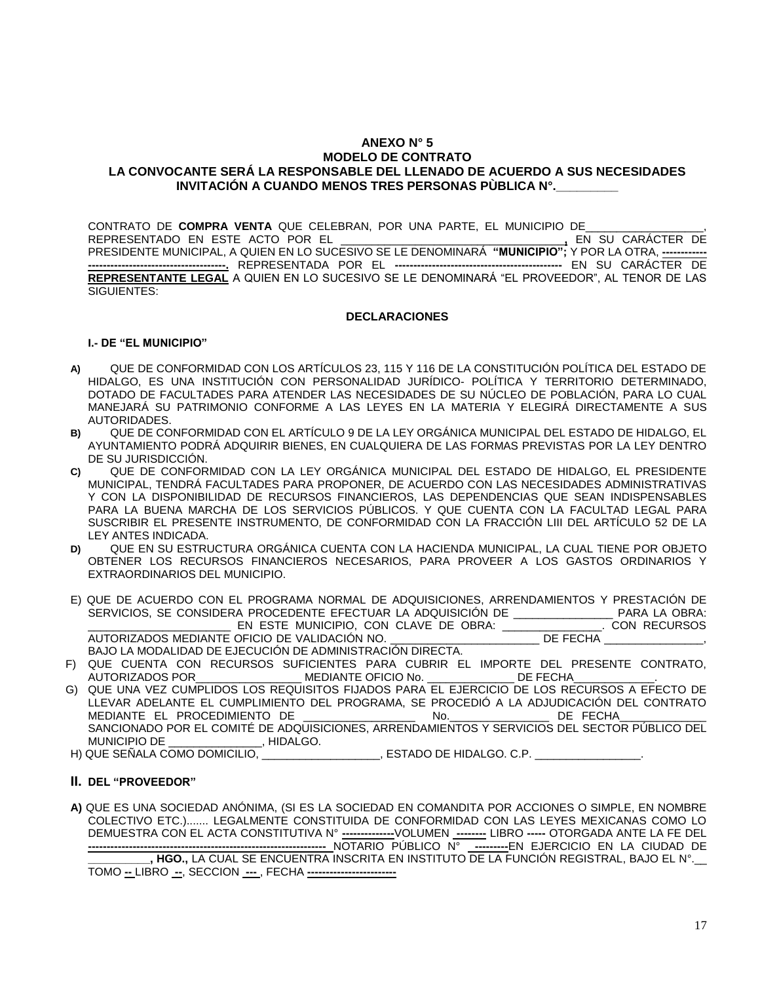## **ANEXO N° 5 MODELO DE CONTRATO LA CONVOCANTE SERÁ LA RESPONSABLE DEL LLENADO DE ACUERDO A SUS NECESIDADES INVITACIÓN A CUANDO MENOS TRES PERSONAS PÙBLICA N°.\_\_\_\_\_\_\_\_\_**

CONTRATO DE **COMPRA VENTA** QUE CELEBRAN, POR UNA PARTE, EL MUNICIPIO DE\_\_\_\_\_\_\_\_\_\_\_\_\_\_\_\_\_\_\_, REPRESENTADO EN ESTE ACTO POR EL \_\_\_\_\_\_\_\_\_\_\_\_\_\_\_\_\_\_\_\_\_\_\_\_\_\_\_\_\_\_\_\_\_\_\_\_**,** EN SU CARÁCTER DE PRESIDENTE MUNICIPAL, A QUIEN EN LO SUCESIVO SE LE DENOMINARÁ **"MUNICIPIO";** Y POR LA OTRA, **------------ -------------------------------------.** REPRESENTADA POR EL **---------------------------------------------** EN SU CARÁCTER DE **REPRESENTANTE LEGAL** A QUIEN EN LO SUCESIVO SE LE DENOMINARÁ "EL PROVEEDOR", AL TENOR DE LAS SIGUIENTES:

### **DECLARACIONES**

### **I.- DE "EL MUNICIPIO"**

- **A)** QUE DE CONFORMIDAD CON LOS ARTÍCULOS 23, 115 Y 116 DE LA CONSTITUCIÓN POLÍTICA DEL ESTADO DE HIDALGO, ES UNA INSTITUCIÓN CON PERSONALIDAD JURÍDICO- POLÍTICA Y TERRITORIO DETERMINADO, DOTADO DE FACULTADES PARA ATENDER LAS NECESIDADES DE SU NÚCLEO DE POBLACIÓN, PARA LO CUAL MANEJARÁ SU PATRIMONIO CONFORME A LAS LEYES EN LA MATERIA Y ELEGIRÁ DIRECTAMENTE A SUS AUTORIDADES.
- **B)** QUE DE CONFORMIDAD CON EL ARTÍCULO 9 DE LA LEY ORGÁNICA MUNICIPAL DEL ESTADO DE HIDALGO, EL AYUNTAMIENTO PODRÁ ADQUIRIR BIENES, EN CUALQUIERA DE LAS FORMAS PREVISTAS POR LA LEY DENTRO DE SU JURISDICCIÓN.
- **C)** QUE DE CONFORMIDAD CON LA LEY ORGÁNICA MUNICIPAL DEL ESTADO DE HIDALGO, EL PRESIDENTE MUNICIPAL, TENDRÁ FACULTADES PARA PROPONER, DE ACUERDO CON LAS NECESIDADES ADMINISTRATIVAS Y CON LA DISPONIBILIDAD DE RECURSOS FINANCIEROS, LAS DEPENDENCIAS QUE SEAN INDISPENSABLES PARA LA BUENA MARCHA DE LOS SERVICIOS PÚBLICOS. Y QUE CUENTA CON LA FACULTAD LEGAL PARA SUSCRIBIR EL PRESENTE INSTRUMENTO, DE CONFORMIDAD CON LA FRACCIÓN LIII DEL ARTÍCULO 52 DE LA LEY ANTES INDICADA.
- **D)** QUE EN SU ESTRUCTURA ORGÁNICA CUENTA CON LA HACIENDA MUNICIPAL, LA CUAL TIENE POR OBJETO OBTENER LOS RECURSOS FINANCIEROS NECESARIOS, PARA PROVEER A LOS GASTOS ORDINARIOS Y EXTRAORDINARIOS DEL MUNICIPIO.
- E) QUE DE ACUERDO CON EL PROGRAMA NORMAL DE ADQUISICIONES, ARRENDAMIENTOS Y PRESTACIÓN DE SERVICIOS, SE CONSIDERA PROCEDENTE EFECTUAR LA ADQUISICIÓN DE \_\_\_\_\_\_\_\_\_\_\_\_\_\_\_\_ PARA LA OBRA: \_\_\_\_\_\_\_\_\_\_\_\_\_\_\_\_\_\_\_\_\_\_\_ EN ESTE MUNICIPIO, CON CLAVE DE OBRA: \_\_\_\_\_\_\_\_\_\_\_\_\_\_\_\_. CON RECURSOS AUTORIZADOS MEDIANTE OFICIO DE VALIDACIÓN NO. BAJO LA MODALIDAD DE EJECUCIÓN DE ADMINISTRACIÓN DIRECTA.
- F) QUE CUENTA CON RECURSOS SUFICIENTES PARA CUBRIR EL IMPORTE DEL PRESENTE CONTRATO,<br>AUTORIZADOS POR\_\_\_\_\_\_\_\_\_\_\_\_\_\_\_\_\_\_\_MEDIANTE OFICIO No. \_\_\_\_\_\_\_\_\_\_\_\_\_DE FECHA\_\_\_\_\_\_\_\_\_\_\_. MEDIANTE OFICIO No. \_\_\_\_\_\_\_\_\_\_\_\_\_\_\_\_\_ DE FECHA\_
- G) QUE UNA VEZ CUMPLIDOS LOS REQUISITOS FIJADOS PARA EL EJERCICIO DE LOS RECURSOS A EFECTO DE LLEVAR ADELANTE EL CUMPLIMIENTO DEL PROGRAMA, SE PROCEDIÓ A LA ADJUDICACIÓN DEL CONTRATO<br>MEDIANTE EL PROCEDIMIENTO DE **ANGLICA EL PROCEDIMIENTO** MEDIANTE EL PROCEDIMIENTO DE FECHA SANCIONADO POR EL COMITÉ DE ADQUISICIONES, ARRENDAMIENTOS Y SERVICIOS DEL SECTOR PÚBLICO DEL MUNICIPIO DE \_\_\_\_\_\_\_\_\_\_\_\_\_\_\_, HIDALGO.
- H) QUE SEÑALA COMO DOMICILIO, \_\_\_\_\_\_\_\_\_\_\_\_\_\_\_\_\_\_\_, ESTADO DE HIDALGO. C.P. \_\_\_\_\_\_\_\_\_\_\_\_\_\_\_\_\_\_

# **II. DEL "PROVEEDOR"**

**A)** QUE ES UNA SOCIEDAD ANÓNIMA, (SI ES LA SOCIEDAD EN COMANDITA POR ACCIONES O SIMPLE, EN NOMBRE COLECTIVO ETC.)....... LEGALMENTE CONSTITUIDA DE CONFORMIDAD CON LAS LEYES MEXICANAS COMO LO DEMUESTRA CON EL ACTA CONSTITUTIVA N° **--------------**VOLUMEN **--------** LIBRO **-----** OTORGADA ANTE LA FE DEL **----------------------------------------------------------------** NOTARIO PÚBLICO N° **---------**EN EJERCICIO EN LA CIUDAD DE **\_\_\_\_\_\_\_\_\_\_, HGO.,** LA CUAL SE ENCUENTRA INSCRITA EN INSTITUTO DE LA FUNCIÓN REGISTRAL, BAJO EL N°.\_\_ TOMO **--** LIBRO **--**, SECCION **---** , FECHA **------------------------**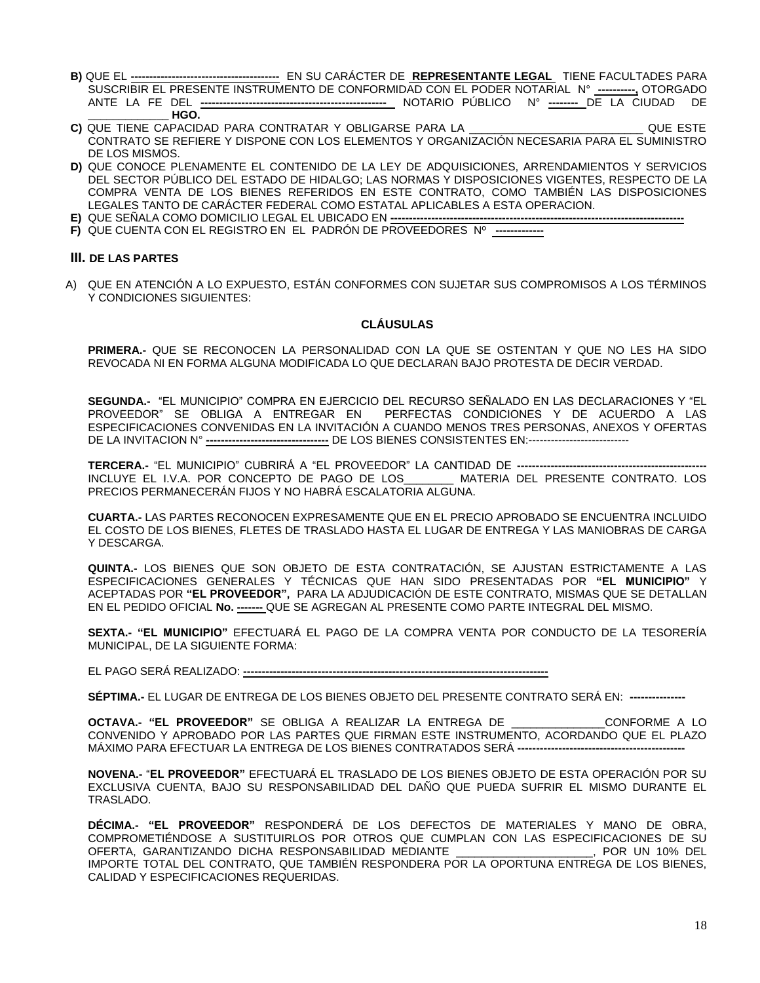- **B)** QUE EL **----------------------------------------** EN SU CARÁCTER DE **REPRESENTANTE LEGAL** TIENE FACULTADES PARA SUSCRIBIR EL PRESENTE INSTRUMENTO DE CONFORMIDAD CON EL PODER NOTARIAL N° **----------,** OTORGADO ANTE LA FE DEL **--------------------------------------------------** NOTARIO PÚBLICO N° **--------** DE LA CIUDAD DE **\_\_\_\_\_\_\_\_\_\_\_\_\_ HGO.**
- **C)** QUE TIENE CAPACIDAD PARA CONTRATAR Y OBLIGARSE PARA LA \_\_\_\_\_\_\_\_\_\_\_\_\_\_\_\_\_\_\_\_\_\_\_\_\_\_\_\_ QUE ESTE CONTRATO SE REFIERE Y DISPONE CON LOS ELEMENTOS Y ORGANIZACIÓN NECESARIA PARA EL SUMINISTRO DE LOS MISMOS.
- **D)** QUE CONOCE PLENAMENTE EL CONTENIDO DE LA LEY DE ADQUISICIONES, ARRENDAMIENTOS Y SERVICIOS DEL SECTOR PÚBLICO DEL ESTADO DE HIDALGO; LAS NORMAS Y DISPOSICIONES VIGENTES, RESPECTO DE LA COMPRA VENTA DE LOS BIENES REFERIDOS EN ESTE CONTRATO, COMO TAMBIÉN LAS DISPOSICIONES LEGALES TANTO DE CARÁCTER FEDERAL COMO ESTATAL APLICABLES A ESTA OPERACION.
- **E)** QUE SEÑALA COMO DOMICILIO LEGAL EL UBICADO EN **-------------------------------------------------------------------------------**
- **F)** QUE CUENTA CON EL REGISTRO EN EL PADRÓN DE PROVEEDORES Nº **-------------**

## **III. DE LAS PARTES**

A) QUE EN ATENCIÓN A LO EXPUESTO, ESTÁN CONFORMES CON SUJETAR SUS COMPROMISOS A LOS TÉRMINOS Y CONDICIONES SIGUIENTES:

# **CLÁUSULAS**

**PRIMERA.-** QUE SE RECONOCEN LA PERSONALIDAD CON LA QUE SE OSTENTAN Y QUE NO LES HA SIDO REVOCADA NI EN FORMA ALGUNA MODIFICADA LO QUE DECLARAN BAJO PROTESTA DE DECIR VERDAD.

**SEGUNDA.-** "EL MUNICIPIO" COMPRA EN EJERCICIO DEL RECURSO SEÑALADO EN LAS DECLARACIONES Y "EL PROVEEDOR" SE OBLIGA A ENTREGAR EN PERFECTAS CONDICIONES Y DE ACUERDO A LAS ESPECIFICACIONES CONVENIDAS EN LA INVITACIÓN A CUANDO MENOS TRES PERSONAS, ANEXOS Y OFERTAS DE LA INVITACION N° **---------------------------------** DE LOS BIENES CONSISTENTES EN:---------------------------

**TERCERA.-** "EL MUNICIPIO" CUBRIRÁ A "EL PROVEEDOR" LA CANTIDAD DE **---------------------------------------------------** INCLUYE EL I.V.A. POR CONCEPTO DE PAGO DE LOS\_\_\_\_\_\_\_\_ MATERIA DEL PRESENTE CONTRATO. LOS PRECIOS PERMANECERÁN FIJOS Y NO HABRÁ ESCALATORIA ALGUNA.

**CUARTA.-** LAS PARTES RECONOCEN EXPRESAMENTE QUE EN EL PRECIO APROBADO SE ENCUENTRA INCLUIDO EL COSTO DE LOS BIENES, FLETES DE TRASLADO HASTA EL LUGAR DE ENTREGA Y LAS MANIOBRAS DE CARGA Y DESCARGA.

**QUINTA.-** LOS BIENES QUE SON OBJETO DE ESTA CONTRATACIÓN, SE AJUSTAN ESTRICTAMENTE A LAS ESPECIFICACIONES GENERALES Y TÉCNICAS QUE HAN SIDO PRESENTADAS POR **"EL MUNICIPIO"** Y ACEPTADAS POR **"EL PROVEEDOR",** PARA LA ADJUDICACIÓN DE ESTE CONTRATO, MISMAS QUE SE DETALLAN EN EL PEDIDO OFICIAL **No. -------** QUE SE AGREGAN AL PRESENTE COMO PARTE INTEGRAL DEL MISMO.

**SEXTA.- "EL MUNICIPIO"** EFECTUARÁ EL PAGO DE LA COMPRA VENTA POR CONDUCTO DE LA TESORERÍA MUNICIPAL, DE LA SIGUIENTE FORMA:

EL PAGO SERÁ REALIZADO: **----------------------------------------------------------------------------------**

**SÉPTIMA.-** EL LUGAR DE ENTREGA DE LOS BIENES OBJETO DEL PRESENTE CONTRATO SERÁ EN: **---------------**

**OCTAVA.- "EL PROVEEDOR"** SE OBLIGA A REALIZAR LA ENTREGA DE \_\_\_\_\_\_\_\_\_\_\_\_\_\_\_CONFORME A LO CONVENIDO Y APROBADO POR LAS PARTES QUE FIRMAN ESTE INSTRUMENTO, ACORDANDO QUE EL PLAZO MÁXIMO PARA EFECTUAR LA ENTREGA DE LOS BIENES CONTRATADOS SERÁ **---------------------------------------------**

**NOVENA.-** "**EL PROVEEDOR"** EFECTUARÁ EL TRASLADO DE LOS BIENES OBJETO DE ESTA OPERACIÓN POR SU EXCLUSIVA CUENTA, BAJO SU RESPONSABILIDAD DEL DAÑO QUE PUEDA SUFRIR EL MISMO DURANTE EL TRASLADO.

**DÉCIMA.- "EL PROVEEDOR"** RESPONDERÁ DE LOS DEFECTOS DE MATERIALES Y MANO DE OBRA, COMPROMETIÉNDOSE A SUSTITUIRLOS POR OTROS QUE CUMPLAN CON LAS ESPECIFICACIONES DE SU OFERTA, GARANTIZANDO DICHA RESPONSABILIDAD MEDIANTE \_\_\_\_\_\_\_\_\_\_\_\_\_\_\_\_\_\_\_\_\_\_, POR UN 10% DEL IMPORTE TOTAL DEL CONTRATO, QUE TAMBIÉN RESPONDERA POR LA OPORTUNA ENTREGA DE LOS BIENES, CALIDAD Y ESPECIFICACIONES REQUERIDAS.